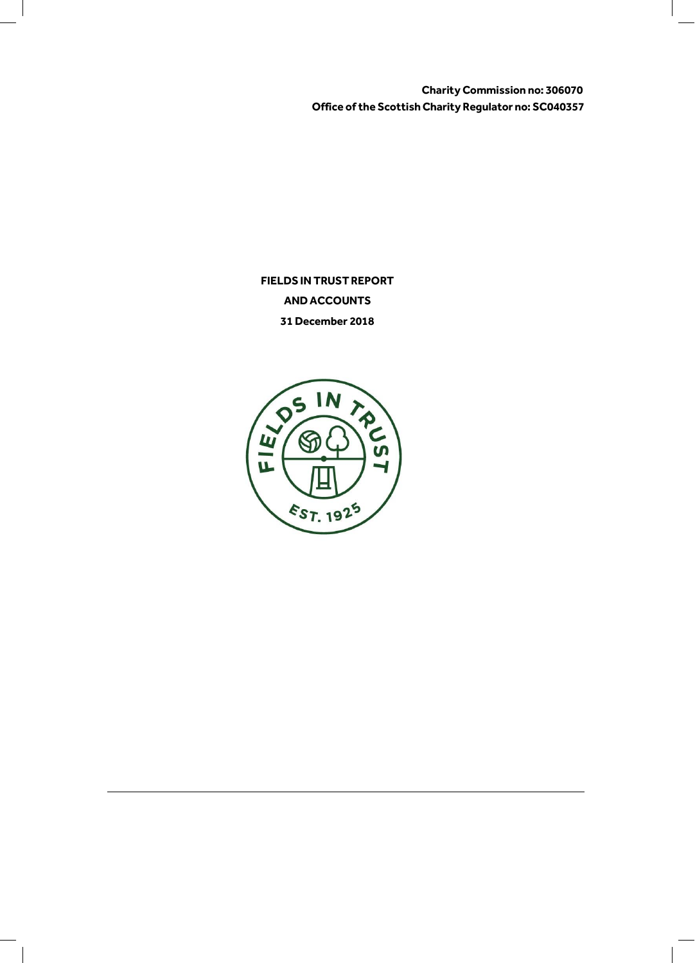**CharityCommission no: 306070 Office of the ScottishCharity Regulator no: SC040357**

## **FIELDS IN TRUSTREPORT AND ACCOUNTS 31 December 2018**

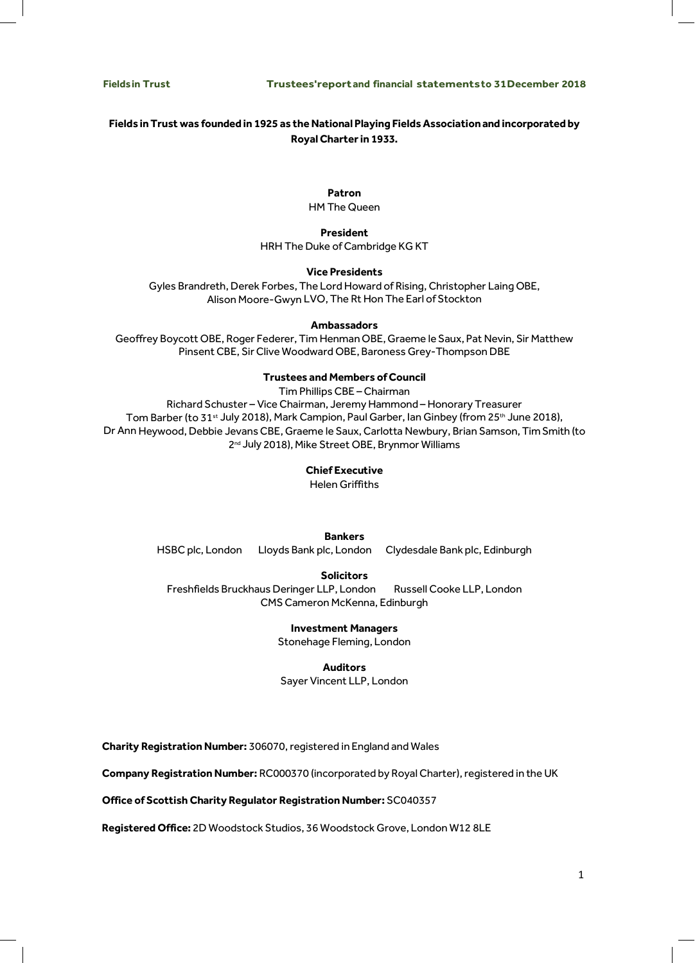## **Fields inTrust was founded in 1925 as the National Playing FieldsAssociationand incorporatedby RoyalCharterin 1933.**

## **Patron**

HM The Queen

## **President**

HRH The Duke of Cambridge KG KT

## **Vice Presidents**

Gyles Brandreth, Derek Forbes, The Lord Howard of Rising, Christopher Laing OBE, Alison Moore-Gwyn LVO, The Rt Hon The Earl of Stockton

### **Ambassadors**

Geoffrey Boycott OBE, Roger Federer, Tim Henman OBE, Graeme le Saux, Pat Nevin, Sir Matthew Pinsent CBE, SirClive Woodward OBE, Baroness Grey-Thompson DBE

## **Trustees and Members ofCouncil**

Tim Phillips CBE – Chairman Richard Schuster – Vice Chairman, Jeremy Hammond – Honorary Treasurer Tom Barber (to 31<sup>st</sup> July 2018), Mark Campion, Paul Garber, Ian Ginbey (from 25<sup>th</sup> June 2018), Dr Ann Heywood, Debbie JevansCBE, Graeme le Saux,Carlotta Newbury, Brian Samson, TimSmith (to 2<sup>nd</sup> July 2018), Mike Street OBE, Brynmor Williams

## **Chief Executive**

Helen Griffiths

**Bankers** HSBC plc, London Lloyds Bank plc, London Clydesdale Bank plc, Edinburgh

### **Solicitors**

Freshfields Bruckhaus Deringer LLP, London Russell Cooke LLP, London CMSCameron McKenna, Edinburgh

## **Investment Managers**

Stonehage Fleming, London

## **Auditors**

Sayer Vincent LLP, London

**Charity Registration Number:** 306070,registered in England and Wales

**Company Registration Number:** RC000370 (incorporated by Royal Charter),registered in the UK

## **Office of Scottish Charity Regulator Registration Number:** SC040357

**Registered Office:** 2D Woodstock Studios, 36 Woodstock Grove, London W12 8LE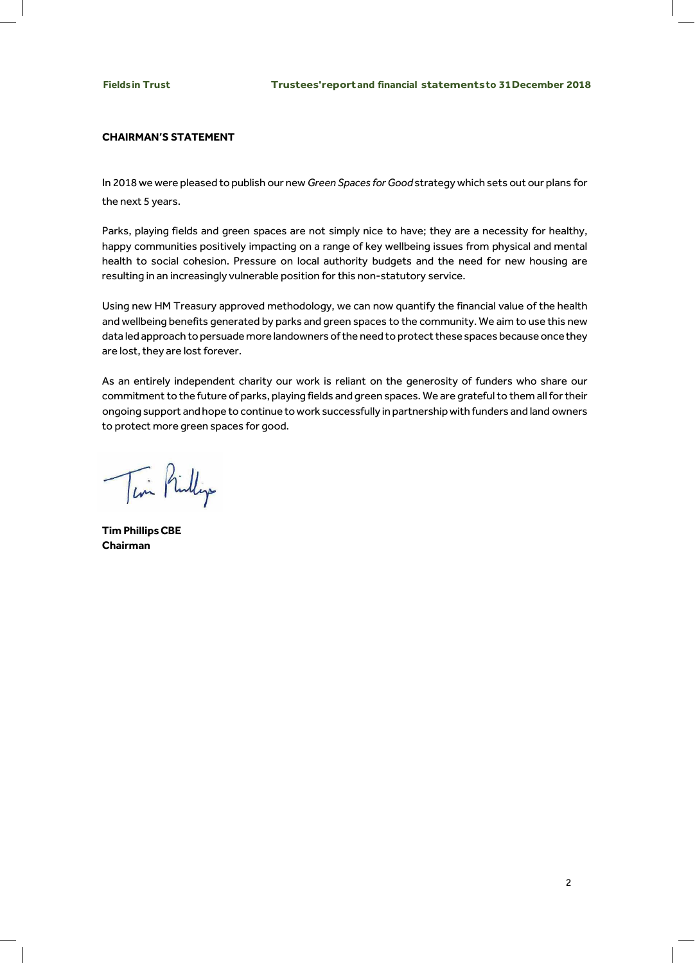## **CHAIRMAN'S STATEMENT**

In 2018 we were pleased to publish our new *Green Spaces forGood* strategy which sets out our plans for the next 5 years.

Parks, playing fields and green spaces are not simply nice to have; they are a necessity for healthy, happy communities positively impacting on a range of key wellbeing issues from physical and mental health to social cohesion. Pressure on local authority budgets and the need for new housing are resulting in an increasingly vulnerable position for this non-statutory service.

Using new HM Treasury approved methodology, we can now quantify the financial value of the health and wellbeing benefits generated by parks and green spaces to the community. We aim to use this new data led approach to persuade more landowners of the need to protect these spaces because once they are lost, they are lost forever.

As an entirely independent charity our work is reliant on the generosity of funders who share our commitment to the future of parks, playing fields and green spaces. We are grateful to them all for their ongoing support andhope to continue towork successfully in partnershipwith funders and land owners to protect more green spaces for good.

Tim Prinling

**Tim PhillipsCBE Chairman**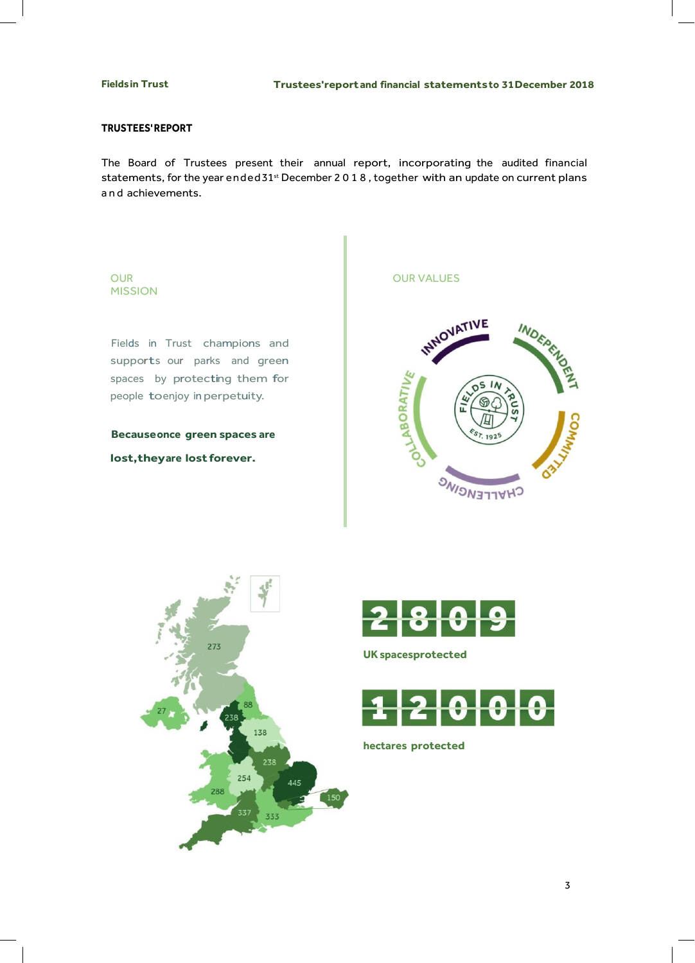## **TRUSTEES'REPORT**

The Board of Trustees present their annual report, incorporating the audited financial statements, for the year ended31<sup>st</sup> December 2018, together with an update on current plans and achievements.

**OUR** MISSION

Fields in Trust champions and supports our parks and green spaces by protecting them for people toenjoy in perpetuity.

**Becauseonce green spaces are lost,theyare lost forever.**

OUR VALUES







**UKspacesprotected**



**hectares protected**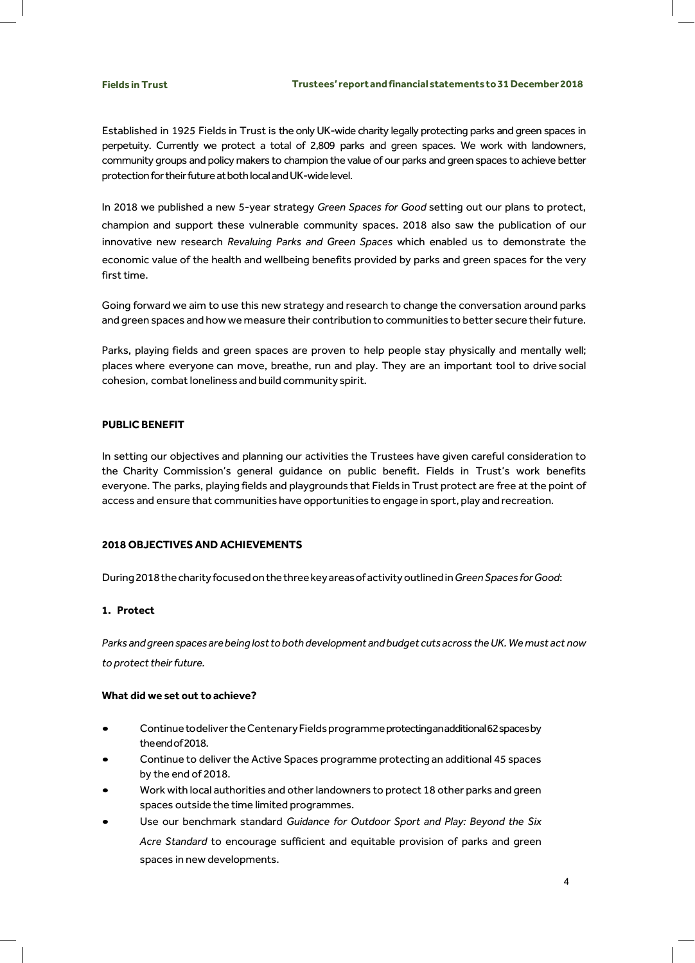Established in 1925 Fields in Trust is the only UK-wide charity legally protecting parks and green spaces in perpetuity. Currently we protect a total of 2,809 parks and green spaces. We work with landowners, community groups and policy makers to champion the value of our parks and green spaces to achieve better protection for their future at both local and UK-wide level.

In 2018 we published a new 5-year strategy *Green Spaces for Good* setting out our plans to protect, champion and support these vulnerable community spaces. 2018 also saw the publication of our innovative new research *Revaluing Parks and Green Spaces* which enabled us to demonstrate the economic value of the health and wellbeing benefits provided by parks and green spaces for the very first time.

Going forward we aim to use this new strategy and research to change the conversation around parks and green spaces and how we measure their contribution to communities to better secure their future.

Parks, playing fields and green spaces are proven to help people stay physically and mentally well; places where everyone can move, breathe, run and play. They are an important tool to drive social cohesion, combat loneliness and build community spirit.

## **PUBLIC BENEFIT**

In setting our objectives and planning our activities the Trustees have given careful consideration to the Charity Commission's general guidance on public benefit. Fields in Trust's work benefits everyone. The parks, playing fields and playgrounds that Fields in Trust protect are free at the point of access and ensure that communities have opportunities to engage in sport, play and recreation.

## **2018 OBJECTIVES AND ACHIEVEMENTS**

During2018thecharityfocusedonthethreekeyareasof activityoutlinedin*GreenSpaces forGood*:

## **1. Protect**

*Parks andgreen spaces arebeing losttobothdevelopment andbudget cuts across theUK.Wemust act now* to protect their future.

## **What did we set out to achieve?**

- Continue to deliver the Centenary Fields programme protecting anadditional 62 spaces by the end of 2018.
- Continue to deliver the Active Spaces programme protecting an additional 45 spaces by the end of 2018.
- Work with local authorities and other landowners to protect 18 other parks and green spaces outside the time limited programmes.
- Use our benchmark standard *Guidance for Outdoor Sport and Play: Beyond the Six Acre Standard* to encourage sufficient and equitable provision of parks and green spaces in new developments.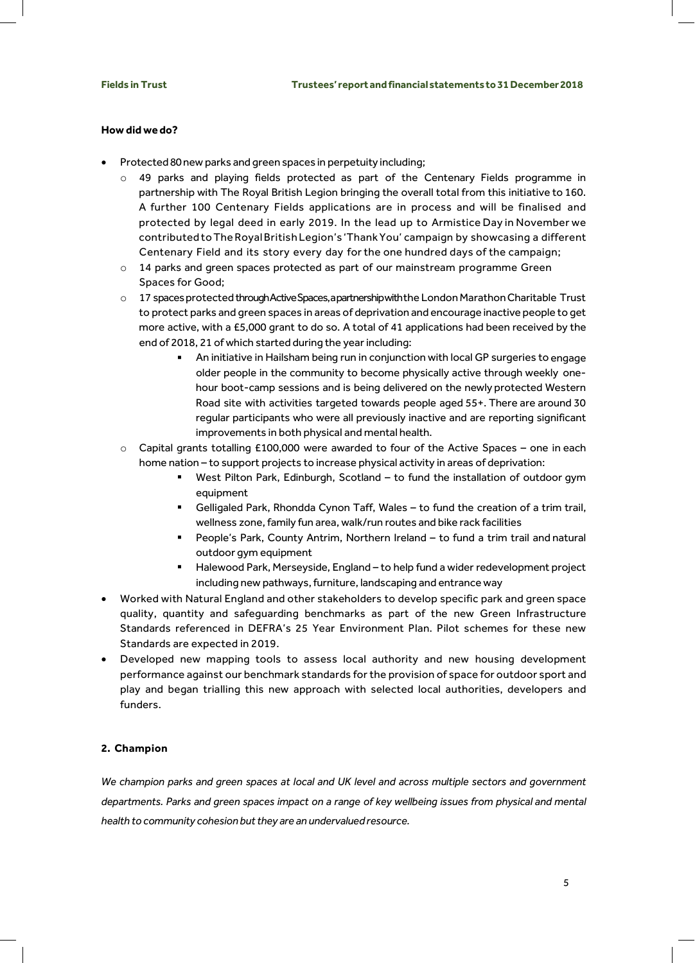## **How did we do?**

- Protected 80new parks and green spaces in perpetuity including;
	- o 49 parks and playing fields protected as part of the Centenary Fields programme in partnership with The Royal British Legion bringing the overall total from this initiative to 160. A further 100 Centenary Fields applications are in process and will be finalised and protected by legal deed in early 2019. In the lead up to Armistice Day in November we contributed toTheRoyalBritish Legion's 'ThankYou' campaign by showcasing a different Centenary Field and its story every day for the one hundred days of the campaign;
	- o 14 parks and green spaces protected as part of our mainstream programme Green Spaces for Good;
	- $\circ$  17 spaces protected through Active Spaces, apartnership with the London Marathon Charitable Trust to protect parks and green spaces in areas of deprivation and encourage inactive people to get more active, with a £5,000 grant to do so. A total of 41 applications had been received by the end of 2018, 21 of which started during the year including:
		- An initiative in Hailsham being run in conjunction with local GP surgeries to engage older people in the community to become physically active through weekly onehour boot-camp sessions and is being delivered on the newly protected Western Road site with activities targeted towards people aged 55+. There are around 30 regular participants who were all previously inactive and are reporting significant improvements in both physical and mental health.
	- o Capital grants totalling £100,000 were awarded to four of the Active Spaces one in each home nation – to support projects to increase physical activity in areas of deprivation:
		- West Pilton Park, Edinburgh, Scotland to fund the installation of outdoor gym equipment
		- Gelligaled Park, Rhondda Cynon Taff, Wales to fund the creation of a trim trail, wellness zone, family fun area, walk/run routes and bike rack facilities
		- People's Park, County Antrim, Northern Ireland to fund a trim trail and natural outdoor gym equipment
		- Halewood Park, Merseyside, England to help fund a wider redevelopment project including new pathways, furniture, landscaping and entrance way
- Worked with Natural England and other stakeholders to develop specific park and green space quality, quantity and safeguarding benchmarks as part of the new Green Infrastructure Standards referenced in DEFRA's 25 Year Environment Plan. Pilot schemes for these new Standards are expected in 2019.
- Developed new mapping tools to assess local authority and new housing development performance against our benchmark standards forthe provision of space for outdoor sport and play and began trialling this new approach with selected local authorities, developers and funders.

## **2. Champion**

*We champion parks and green spaces at local and UK level and across multiple sectors and government departments. Parks and green spaces impact on a range of key wellbeing issues from physical and mental health to community cohesion butthey are an undervalued resource.*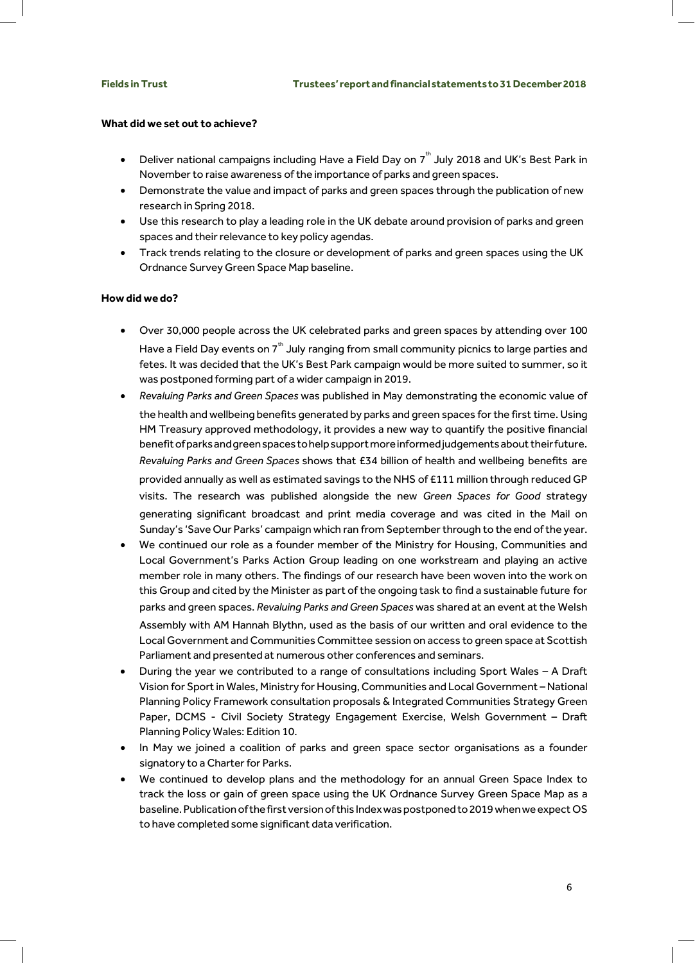## **What did we set out to achieve?**

- $\bullet$  Deliver national campaigns including Have a Field Day on  $7^{^{\rm th}}$  July 2018 and UK's Best Park in November to raise awareness of the importance of parks and green spaces.
- Demonstrate the value and impact of parks and green spaces through the publication of new research in Spring 2018.
- Use this research to play a leading role in the UK debate around provision of parks and green spaces and their relevance to key policy agendas.
- Track trends relating to the closure or development of parks and green spaces using the UK Ordnance Survey Green Space Map baseline.

## **How did we do?**

- Over 30,000 people across the UK celebrated parks and green spaces by attending over 100 Have a Field Day events on 7 $^{\text{th}}$  July ranging from small community picnics to large parties and fetes. It was decided that the UK's Best Park campaign would be more suited to summer, so it was postponed forming part of a wider campaign in 2019.
- *Revaluing Parks and Green Spaces* was published in May demonstrating the economic value of the health and wellbeing benefits generated by parks and green spaces for the first time. Using HM Treasury approved methodology, it provides a new way to quantify the positive financial benefit of parks and green spaces to help support more informed judgements about their future. *Revaluing Parks and Green Spaces* shows that £34 billion of health and wellbeing benefits are provided annually as well as estimated savings to the NHS of £111 million through reduced GP visits. The research was published alongside the new *Green Spaces for Good* strategy generating significant broadcast and print media coverage and was cited in the Mail on Sunday's 'Save Our Parks' campaign which ran from September through to the end of the year.
- We continued our role as a founder member of the Ministry for Housing, Communities and Local Government's Parks Action Group leading on one workstream and playing an active member role in many others. The findings of our research have been woven into the work on this Group and cited by the Minister as part of the ongoing task to find a sustainable future for parks and green spaces. *Revaluing Parks and Green Spaces* was shared at an event atthe Welsh

Assembly with AM Hannah Blythn, used as the basis of our written and oral evidence to the Local Government and Communities Committee session on access to green space at Scottish Parliament and presented at numerous other conferences and seminars.

- During the year we contributed to a range of consultations including Sport Wales A Draft Vision for Sport in Wales, Ministry for Housing, Communities and Local Government – National Planning Policy Framework consultation proposals & Integrated Communities Strategy Green Paper, DCMS - Civil Society Strategy Engagement Exercise, Welsh Government – Draft Planning Policy Wales: Edition 10.
- In May we joined a coalition of parks and green space sector organisations as a founder signatory to a Charter for Parks.
- We continued to develop plans and the methodology for an annual Green Space Index to track the loss or gain of green space using the UK Ordnance Survey Green Space Map as a baseline. Publication of the first version of this Index was postponed to 2019 when we expect OS to have completed some significant data verification.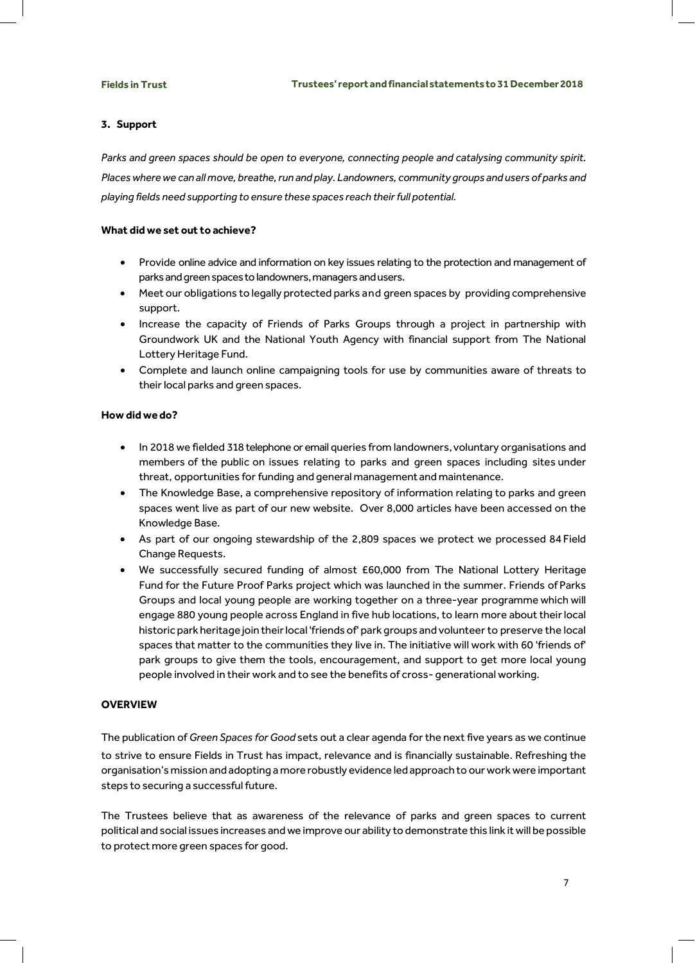## **3. Support**

*Parks and green spaces should be open to everyone, connecting people and catalysing community spirit. Placeswhere we can all move, breathe, run and play. Landowners, community groups and users of parks and playing fields need supporting to ensure these spaces reach theirfull potential.*

## **What did we set out to achieve?**

- Provide online advice and information on key issues relating to the protection and management of parks and green spaces to landowners, managers and users.
- Meet our obligations to legally protected parks and green spaces by providing comprehensive support.
- Increase the capacity of Friends of Parks Groups through a project in partnership with Groundwork UK and the National Youth Agency with financial support from The National Lottery Heritage Fund.
- Complete and launch online campaigning tools for use by communities aware of threats to their local parks and green spaces.

## **How did we do?**

- In 2018 we fielded 318 telephone or email queries from landowners, voluntary organisations and members of the public on issues relating to parks and green spaces including sites under threat, opportunities for funding and general management and maintenance.
- The Knowledge Base, a comprehensive repository of information relating to parks and green spaces went live as part of our new website. Over 8,000 articles have been accessed on the Knowledge Base.
- As part of our ongoing stewardship of the 2,809 spaces we protect we processed 84 Field Change Requests.
- We successfully secured funding of almost £60,000 from The National Lottery Heritage Fund for the Future Proof Parks project which was launched in the summer. Friends of Parks Groups and local young people are working together on a three-year programme which will engage 880 young people across England in five hub locations, to learn more about their local historic park heritage join theirlocal 'friends of' park groups and volunteer to preserve the local spaces that matter to the communities they live in. The initiative will work with 60 'friends of' park groups to give them the tools, encouragement, and support to get more local young people involved in their work and to see the benefits of cross- generational working.

## **OVERVIEW**

The publication of *Green Spaces for Good* sets out a clear agenda for the next five years as we continue to strive to ensure Fields in Trust has impact, relevance and is financially sustainable. Refreshing the organisation's mission andadopting a more robustly evidence ledapproach to our work were important steps to securing a successful future.

The Trustees believe that as awareness of the relevance of parks and green spaces to current political and social issues increases and we improve our ability to demonstrate this link it will be possible to protect more green spaces for good.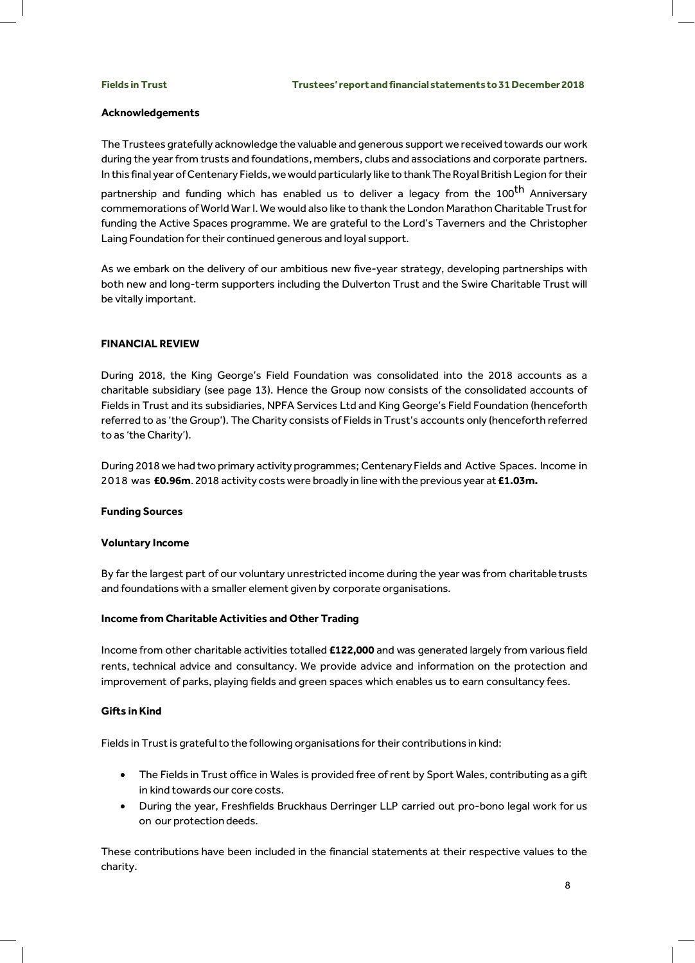## **Acknowledgements**

The Trustees gratefully acknowledge the valuable and generous support we received towards our work during the year from trusts and foundations, members, clubs and associations and corporate partners. In this final year of Centenary Fields, we would particularly like to thank The Royal British Legion for their

partnership and funding which has enabled us to deliver a legacy from the 100<sup>th</sup> Anniversarv commemorations of World War I. We would also like to thank the London Marathon Charitable Trust for funding the Active Spaces programme. We are grateful to the Lord's Taverners and the Christopher Laing Foundation for their continued generous and loyal support.

As we embark on the delivery of our ambitious new five-year strategy, developing partnerships with both new and long-term supporters including the Dulverton Trust and the Swire Charitable Trust will be vitally important.

## **FINANCIAL REVIEW**

During 2018, the King George's Field Foundation was consolidated into the 2018 accounts as a charitable subsidiary (see page 13). Hence the Group now consists of the consolidated accounts of Fields in Trust and its subsidiaries, NPFA Services Ltd and King George's Field Foundation (henceforth referred to as 'the Group'). The Charity consists of Fields in Trust's accounts only (henceforth referred to as 'theCharity').

During 2018 we had two primary activity programmes; Centenary Fields and Active Spaces. Income in 2018 was **£0.96m**. 2018 activity costs were broadly in line with the previous year at **£1.03m.**

## **Funding Sources**

## **Voluntary Income**

By far the largest part of our voluntary unrestricted income during the year was from charitable trusts and foundations with a smaller element given by corporate organisations.

## **Income from Charitable Activities and Other Trading**

Income from other charitable activities totalled **£122,000** and was generated largely from various field rents, technical advice and consultancy. We provide advice and information on the protection and improvement of parks, playing fields and green spaces which enables us to earn consultancy fees.

## **Gifts in Kind**

Fields in Trust is grateful to the following organisations for their contributions in kind:

- The Fields in Trust office in Wales is provided free of rent by Sport Wales, contributing as a gift in kind towards our core costs.
- During the year, Freshfields Bruckhaus Derringer LLP carried out pro-bono legal work for us on our protection deeds.

These contributions have been included in the financial statements at their respective values to the charity.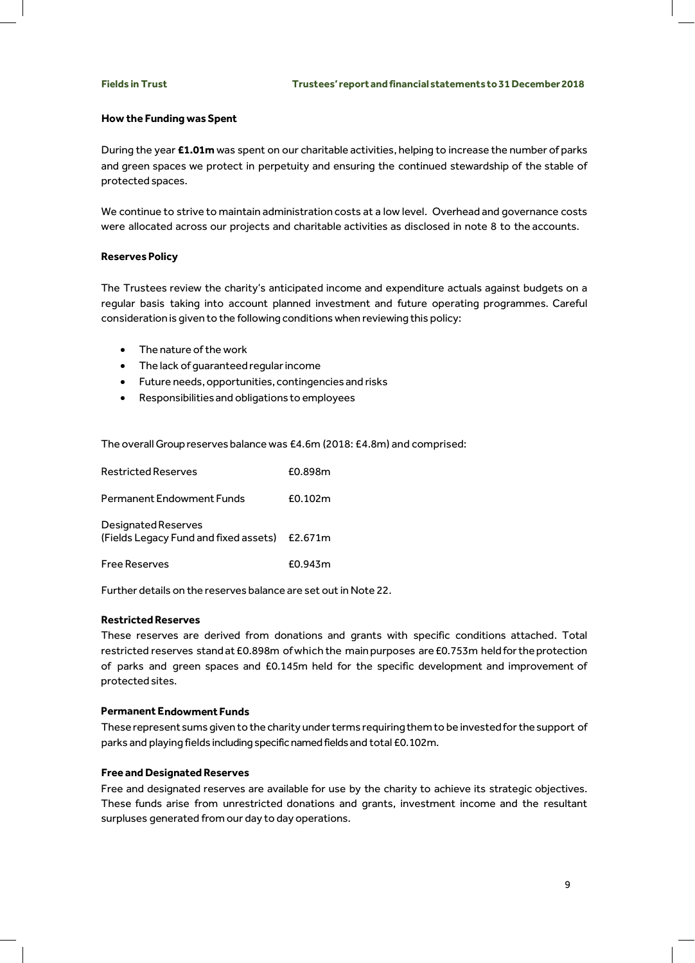## **How the Funding wasSpent**

During the year **£1.01m** was spent on our charitable activities, helping to increase the number of parks and green spaces we protect in perpetuity and ensuring the continued stewardship of the stable of protected spaces.

We continue to strive to maintain administration costs at a low level. Overhead and governance costs were allocated across our projects and charitable activities as disclosed in note 8 to the accounts.

## **ReservesPolicy**

The Trustees review the charity's anticipated income and expenditure actuals against budgets on a regular basis taking into account planned investment and future operating programmes. Careful consideration is given to the following conditions when reviewing this policy:

- The nature of the work
- The lack of guaranteed regular income
- Future needs,opportunities,contingencies and risks
- Responsibilitiesand obligations to employees

The overall Groupreservesbalance was £4.6m (2018: £4.8m) and comprised:

| <b>Restricted Reserves</b>                                           | £0.898m |
|----------------------------------------------------------------------|---------|
| Permanent Endowment Funds                                            | £0.102m |
| Designated Reserves<br>(Fields Legacy Fund and fixed assets) £2.671m |         |
| <b>Free Reserves</b>                                                 | £0.943m |

Further details on the reserves balance are set out in Note 22.

## **RestrictedReserves**

These reserves are derived from donations and grants with specific conditions attached. Total restricted reserves stand at £0.898m of which the main purposes are £0.753m held forthe protection of parks and green spaces and £0.145m held for the specific development and improvement of protected sites.

## **Permanent Endowment Funds**

These represent sums given to the charity under terms requiring them to be invested for the support of parks and playing fields including specific named fields and total £0.102m.

## **Free and DesignatedReserves**

Free and designated reserves are available for use by the charity to achieve its strategic objectives. These funds arise from unrestricted donations and grants, investment income and the resultant surpluses generated from our day to day operations.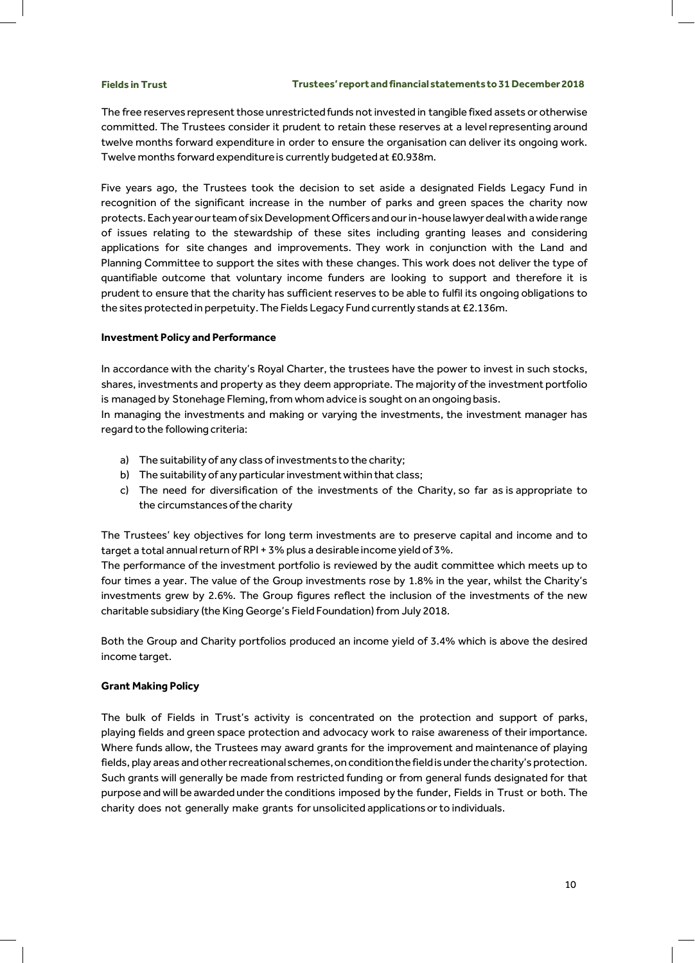## **Fields in Trust Trustees'reportandfinancialstatementsto31December2018**

The free reserves represent those unrestricted funds not invested in tangible fixed assets or otherwise committed. The Trustees consider it prudent to retain these reserves at a level representing around twelve months forward expenditure in order to ensure the organisation can deliver its ongoing work. Twelve months forward expenditureis currently budgeted at £0.938m.

Five years ago, the Trustees took the decision to set aside a designated Fields Legacy Fund in recognition of the significant increase in the number of parks and green spaces the charity now protects. Eachyearourteamof sixDevelopmentOfficersandourin-houselawyerdealwithawide range of issues relating to the stewardship of these sites including granting leases and considering applications for site changes and improvements. They work in conjunction with the Land and Planning Committee to support the sites with these changes. This work does not deliver the type of quantifiable outcome that voluntary income funders are looking to support and therefore it is prudent to ensure that the charity has sufficient reserves to be able to fulfil its ongoing obligations to the sites protected in perpetuity.The Fields Legacy Fund currently stands at £2.136m.

## **Investment Policy and Performance**

In accordance with the charity's Royal Charter, the trustees have the power to invest in such stocks, shares, investments and property as they deem appropriate. The majority of the investment portfolio is managed by Stonehage Fleming, from whom advice is sought on an ongoing basis.

In managing the investments and making or varying the investments, the investment manager has regard to the following criteria:

- a) The suitability of any class of investments to the charity;
- b) The suitability of any particular investment within that class;
- c) The need for diversification of the investments of the Charity, so far as is appropriate to the circumstances of the charity

The Trustees' key objectives for long term investments are to preserve capital and income and to target a total annual return of RPI + 3% plus a desirable income yield of 3%.

The performance of the investment portfolio is reviewed by the audit committee which meets up to four times a year. The value of the Group investments rose by 1.8% in the year, whilst the Charity's investments grew by 2.6%. The Group figures reflect the inclusion of the investments of the new charitable subsidiary (the King George's Field Foundation) from July 2018.

Both the Group and Charity portfolios produced an income yield of 3.4% which is above the desired income target.

## **Grant Making Policy**

The bulk of Fields in Trust's activity is concentrated on the protection and support of parks, playing fields and green space protection and advocacy work to raise awareness of their importance. Where funds allow, the Trustees may award grants for the improvement and maintenance of playing fields, play areas and other recreational schemes, on condition the field is under the charity's protection. Such grants will generally be made from restricted funding or from general funds designated for that purpose and will be awarded under the conditions imposed by the funder, Fields in Trust or both. The charity does not generally make grants for unsolicited applicationsorto individuals.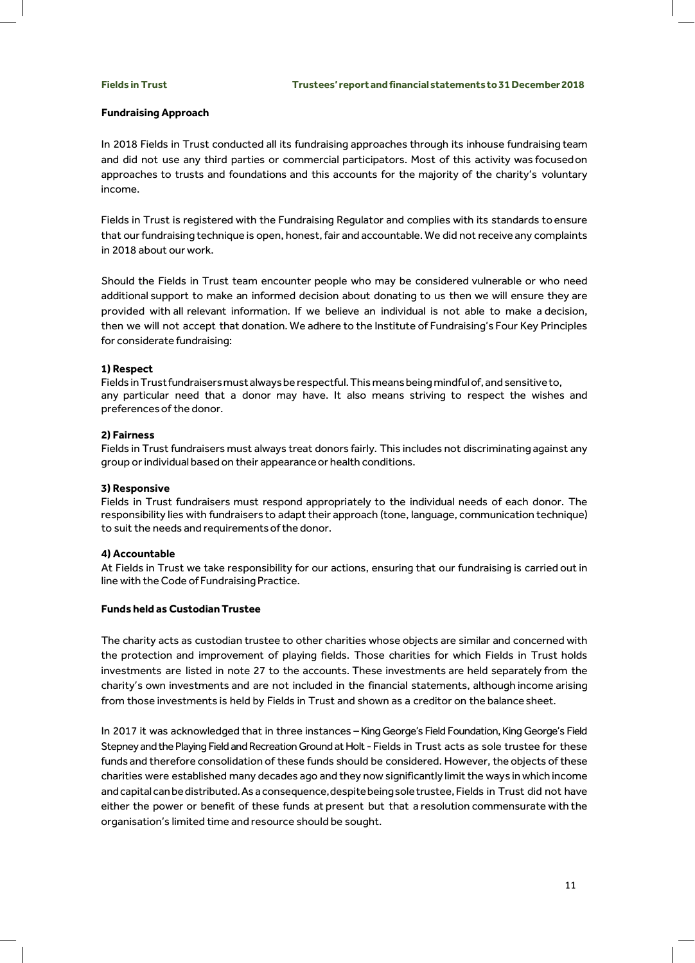## **FundraisingApproach**

In 2018 Fields in Trust conducted all its fundraising approaches through its inhouse fundraising team and did not use any third parties or commercial participators. Most of this activity was focusedon approaches to trusts and foundations and this accounts for the majority of the charity's voluntary income.

Fields in Trust is registered with the Fundraising Regulator and complies with its standards to ensure that our fundraising technique is open, honest, fair and accountable. We did not receive any complaints in 2018 about our work.

Should the Fields in Trust team encounter people who may be considered vulnerable or who need additional support to make an informed decision about donating to us then we will ensure they are provided with all relevant information. If we believe an individual is not able to make a decision, then we will not accept that donation. We adhere to the Institute of Fundraising's Four Key Principles for considerate fundraising:

## **1) Respect**

Fields inTrustfundraisersmust alwaysbe respectful.Thismeansbeingmindfulof, and sensitiveto, any particular need that a donor may have. It also means striving to respect the wishes and preferencesof the donor.

## **2) Fairness**

Fields in Trust fundraisers must always treat donors fairly. This includes not discriminating against any group or individual based on their appearance or health conditions.

## **3) Responsive**

Fields in Trust fundraisers must respond appropriately to the individual needs of each donor. The responsibility lies with fundraisers to adapt their approach (tone, language, communication technique) to suit the needs and requirementsofthe donor.

## **4) Accountable**

At Fields in Trust we take responsibility for our actions, ensuring that our fundraising is carried out in line with theCode of FundraisingPractice.

## **Funds held as CustodianTrustee**

The charity acts as custodian trustee to other charities whose objects are similar and concerned with the protection and improvement of playing fields. Those charities for which Fields in Trust holds investments are listed in note 27 to the accounts. These investments are held separately from the charity's own investments and are not included in the financial statements, although income arising from those investments is held by Fields in Trust and shown as a creditor on the balance sheet.

In 2017 it was acknowledged that in three instances – King George's Field Foundation, King George's Field Stepney and the Playing Field and Recreation Ground at Holt - Fields in Trust acts as sole trustee for these funds and therefore consolidation of these funds should be considered. However, the objects of these charities were established many decades ago and they now significantly limit the ways in which income andcapitalcanbedistributed.As a consequence,despitebeingsoletrustee, Fields in Trust did not have either the power or benefit of these funds at present but that a resolution commensurate with the organisation's limited time and resource should be sought.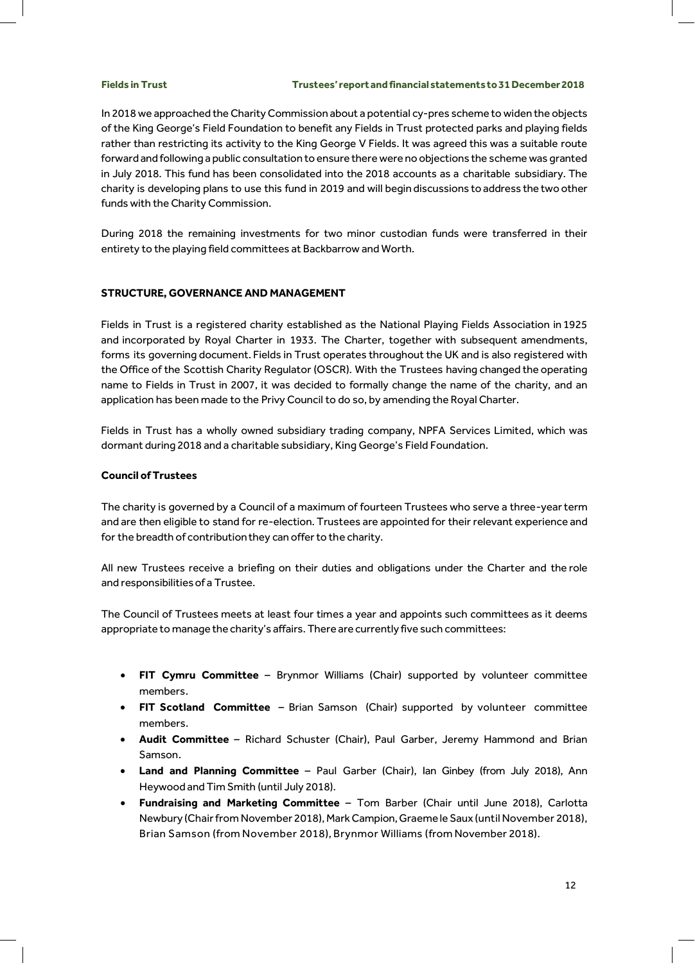### **Fields in Trust Trustees'reportandfinancialstatementsto31December2018**

In 2018 we approached theCharityCommission about a potential cy-pres scheme to widen the objects of the King George's Field Foundation to benefit any Fields in Trust protected parks and playing fields rather than restricting its activity to the King George V Fields. It was agreed this was a suitable route forward and following a public consultation to ensure there were no objections the scheme was granted in July 2018. This fund has been consolidated into the 2018 accounts as a charitable subsidiary. The charity is developing plans to use this fund in 2019 and will begin discussions to address the two other funds with the Charity Commission.

During 2018 the remaining investments for two minor custodian funds were transferred in their entirety to the playing field committees at Backbarrow and Worth.

## **STRUCTURE, GOVERNANCE AND MANAGEMENT**

Fields in Trust is a registered charity established as the National Playing Fields Association in 1925 and incorporated by Royal Charter in 1933. The Charter, together with subsequent amendments, forms its governing document. Fields in Trust operates throughout the UK and is also registered with the Office of the Scottish Charity Regulator (OSCR). With the Trustees having changed the operating name to Fields in Trust in 2007, it was decided to formally change the name of the charity, and an application has been made to the Privy Council to do so, by amending the Royal Charter.

Fields in Trust has a wholly owned subsidiary trading company, NPFA Services Limited, which was dormant during 2018 and a charitable subsidiary, King George's Field Foundation.

## **Council ofTrustees**

The charity is governed by a Council of a maximum of fourteen Trustees who serve a three-year term and are then eligible to stand for re-election. Trustees are appointed for their relevant experience and for the breadth of contributionthey can offerto the charity.

All new Trustees receive a briefing on their duties and obligations under the Charter and the role and responsibilitiesof a Trustee.

The Council of Trustees meets at least four times a year and appoints such committees as it deems appropriate to manage the charity's affairs. There are currently five such committees:

- **FIT Cymru Committee** Brynmor Williams (Chair) supported by volunteer committee members.
- **FIT Scotland Committee** Brian Samson (Chair) supported by volunteer committee members.
- **Audit Committee** Richard Schuster (Chair), Paul Garber, Jeremy Hammond and Brian Samson.
- **Land and Planning Committee** Paul Garber (Chair), Ian Ginbey (from July 2018), Ann Heywood andTim Smith (until July 2018).
- **Fundraising and Marketing Committee** Tom Barber (Chair until June 2018), Carlotta Newbury (Chair from November 2018), Mark Campion, Graeme le Saux (until November 2018), Brian Samson (from November 2018), Brynmor Williams (from November 2018).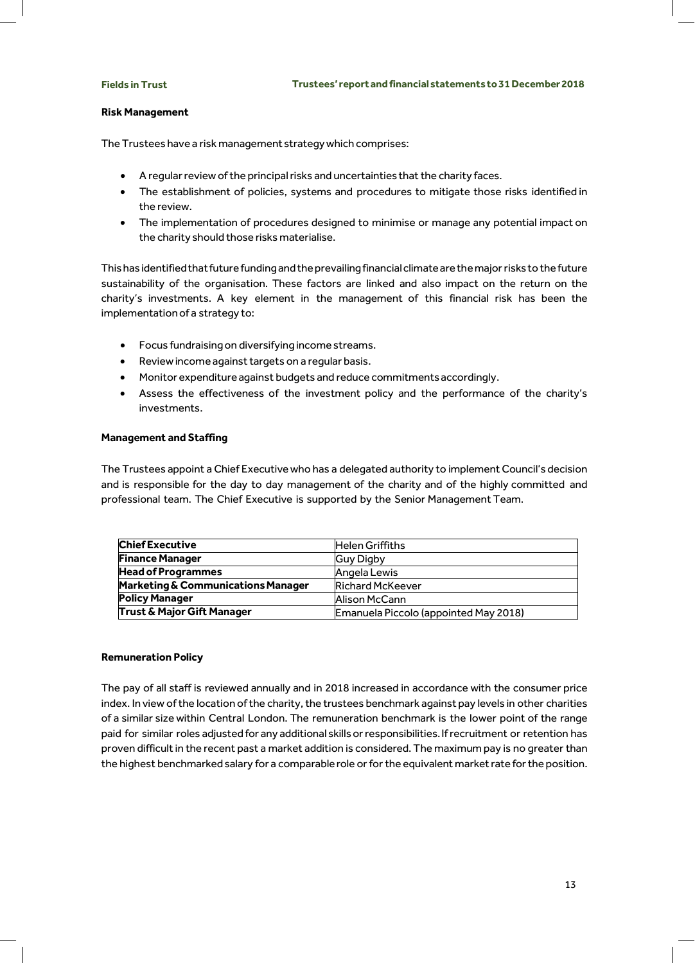## **Risk Management**

The Trustees have a risk management strategywhich comprises:

- $\bullet$  A regular review of the principal risks and uncertainties that the charity faces.
- The establishment of policies, systems and procedures to mitigate those risks identified in the review.
- The implementation of procedures designed to minimise or manage any potential impact on the charity should those risks materialise.

This has identified that future funding and the prevailing financial climate are the major risks to the future sustainability of the organisation. These factors are linked and also impact on the return on the charity's investments. A key element in the management of this financial risk has been the implementation of a strategy to:

- Focus fundraisingon diversifyingincome streams.
- Review income against targets on a regular basis.
- Monitor expenditureagainst budgets and reduce commitments accordingly.
- Assess the effectiveness of the investment policy and the performance of the charity's investments.

## **Management and Staffing**

The Trustees appoint a Chief Executive who has a delegated authority to implement Council's decision and is responsible for the day to day management of the charity and of the highly committed and professional team. The Chief Executive is supported by the Senior Management Team.

| <b>Chief Executive</b>                | Helen Griffiths                       |
|---------------------------------------|---------------------------------------|
| <b>Finance Manager</b>                | <b>Guy Digby</b>                      |
| <b>Head of Programmes</b>             | Angela Lewis                          |
| Marketing & Communications Manager    | <b>Richard McKeever</b>               |
| <b>Policy Manager</b>                 | Alison McCann                         |
| <b>Trust &amp; Major Gift Manager</b> | Emanuela Piccolo (appointed May 2018) |

## **Remuneration Policy**

The pay of all staff is reviewed annually and in 2018 increased in accordance with the consumer price index. In view of the location of the charity, the trustees benchmark against pay levels in other charities of a similar size within Central London. The remuneration benchmark is the lower point of the range paid for similar roles adjusted for any additional skills or responsibilities. If recruitment or retention has proven difficult in the recent past a market addition is considered. The maximum pay is no greater than the highest benchmarked salary for a comparable role or for the equivalent market rate for the position.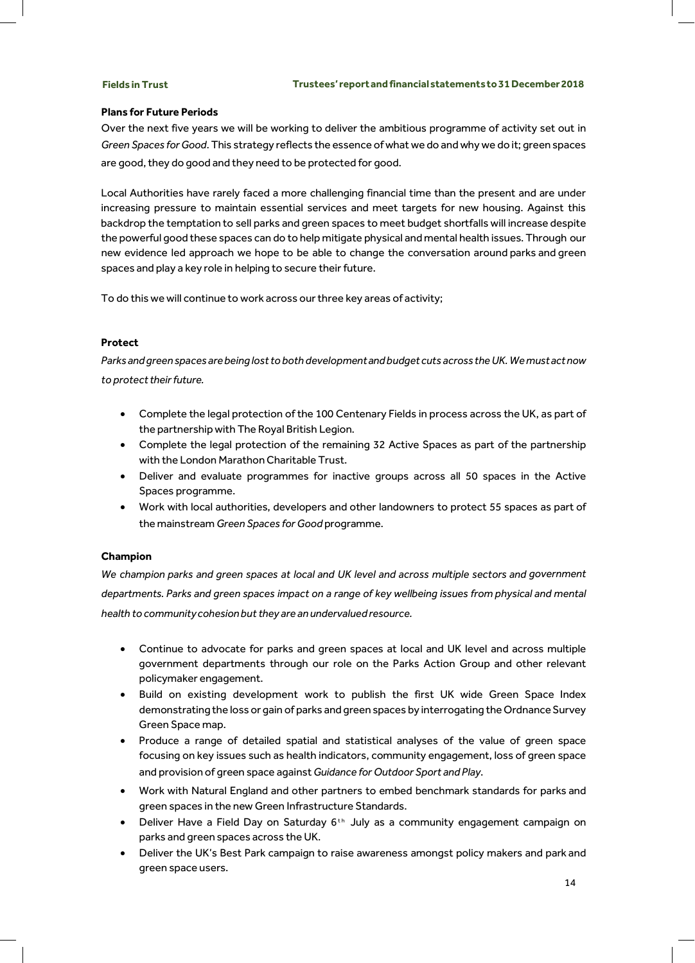## **Plans for Future Periods**

Over the next five years we will be working to deliver the ambitious programme of activity set out in *Green Spaces forGood*.This strategy reflects the essence of what we do and why we do it; green spaces are good, they do good and they need to be protected for good.

Local Authorities have rarely faced a more challenging financial time than the present and are under increasing pressure to maintain essential services and meet targets for new housing. Against this backdrop the temptation to sell parks and green spaces to meet budget shortfalls will increase despite the powerful good these spaces can do to help mitigate physical and mental health issues. Through our new evidence led approach we hope to be able to change the conversation around parks and green spaces and play a key role in helping to secure their future.

To do this we will continue to work across our three key areas of activity;

## **Protect**

*Parks andgreen spaces arebeing lostto both developmentandbudget cuts across theUK. We mustactnow* to protect their future.

- Complete the legal protection of the 100 Centenary Fields in process across the UK, as part of the partnership with The Royal British Legion.
- Complete the legal protection of the remaining 32 Active Spaces as part of the partnership with the London Marathon Charitable Trust.
- Deliver and evaluate programmes for inactive groups across all 50 spaces in the Active Spaces programme.
- Work with local authorities, developers and other landowners to protect 55 spaces as part of the mainstream *Green Spaces for Good* programme.

## **Champion**

*We champion parks and green spaces at local and UK level and across multiple sectors and government departments. Parks and green spaces impact on a range of key wellbeing issues from physical and mental health to communitycohesionbutthey are an undervaluedresource.*

- Continue to advocate for parks and green spaces at local and UK level and across multiple government departments through our role on the Parks Action Group and other relevant policymaker engagement.
- Build on existing development work to publish the first UK wide Green Space Index demonstratingthe loss or gain of parks and green spaces by interrogating theOrdnance Survey Green Space map.
- Produce a range of detailed spatial and statistical analyses of the value of green space focusing on key issues such as health indicators, community engagement, loss of green space and provision of green space against *Guidance for Outdoor Sport and Play*.
- Work with Natural England and other partners to embed benchmark standards for parks and green spaces in the new Green Infrastructure Standards.
- Deliver Have a Field Day on Saturday  $6<sup>th</sup>$  July as a community engagement campaign on parks and green spaces across the UK.
- Deliver the UK's Best Park campaign to raise awareness amongst policy makers and park and green space users.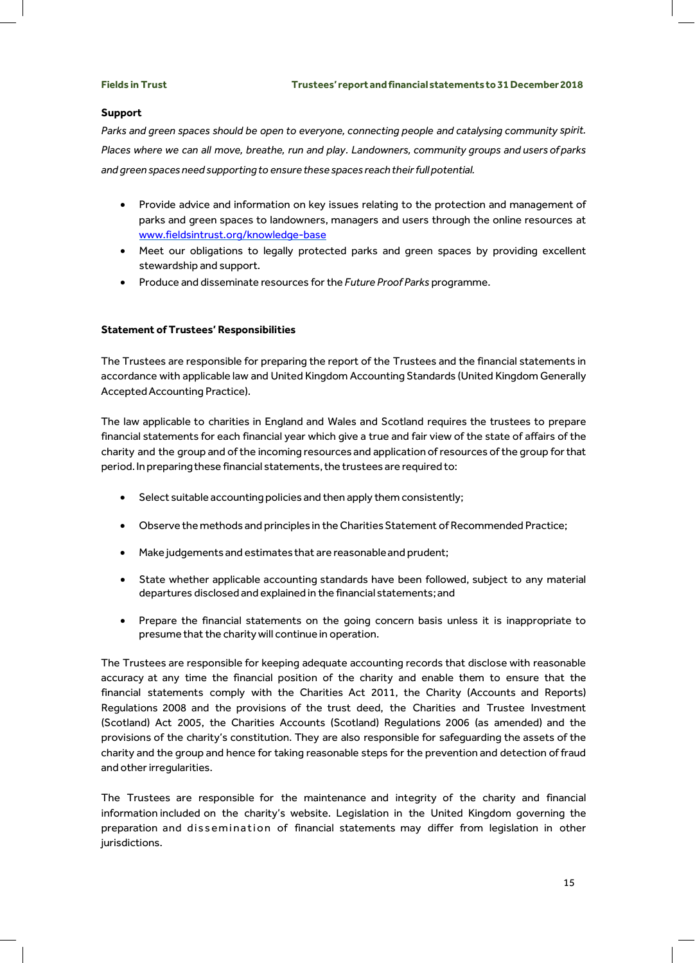## **Support**

*Parks and green spaces should be open to everyone, connecting people and catalysing community spirit. Places where we can all move, breathe, run and play. Landowners, community groups and users of parks and green spaces need supportingto ensure these spaces reach theirfull potential.*

- Provide advice and information on key issues relating to the protection and management of parks and green spaces to landowners, managers and users through the online resources at www.fieldsintrust.org/knowledge-base
- Meet our obligations to legally protected parks and green spaces by providing excellent stewardship and support.
- Produce and disseminate resources for the *Future Proof Parks* programme.

## **Statement of Trustees' Responsibilities**

The Trustees are responsible for preparing the report of the Trustees and the financial statements in accordance with applicable law and United Kingdom Accounting Standards (United Kingdom Generally Accepted Accounting Practice).

The law applicable to charities in England and Wales and Scotland requires the trustees to prepare financial statements for each financial year which give a true and fair view of the state of affairs of the charity and the group and of the incoming resources and application of resources of the group for that period. In preparing these financial statements, the trustees are required to:

- Select suitable accountingpolicies and then apply them consistently;
- Observe the methods and principles in the Charities Statement of Recommended Practice;
- Make judgements and estimates that are reasonableand prudent;
- State whether applicable accounting standards have been followed, subject to any material departures disclosed and explained in the financial statements;and
- Prepare the financial statements on the going concern basis unless it is inappropriate to presume that the charity will continue in operation.

The Trustees are responsible for keeping adequate accounting records that disclose with reasonable accuracy at any time the financial position of the charity and enable them to ensure that the financial statements comply with the Charities Act 2011, the Charity (Accounts and Reports) Regulations 2008 and the provisions of the trust deed, the Charities and Trustee Investment (Scotland) Act 2005, the Charities Accounts (Scotland) Regulations 2006 (as amended) and the provisions of the charity's constitution. They are also responsible for safeguarding the assets of the charity and the group and hence for taking reasonable steps for the prevention and detection of fraud and other irregularities.

The Trustees are responsible for the maintenance and integrity of the charity and financial information included on the charity's website. Legislation in the United Kingdom governing the preparation and dissemination of financial statements may differ from legislation in other jurisdictions.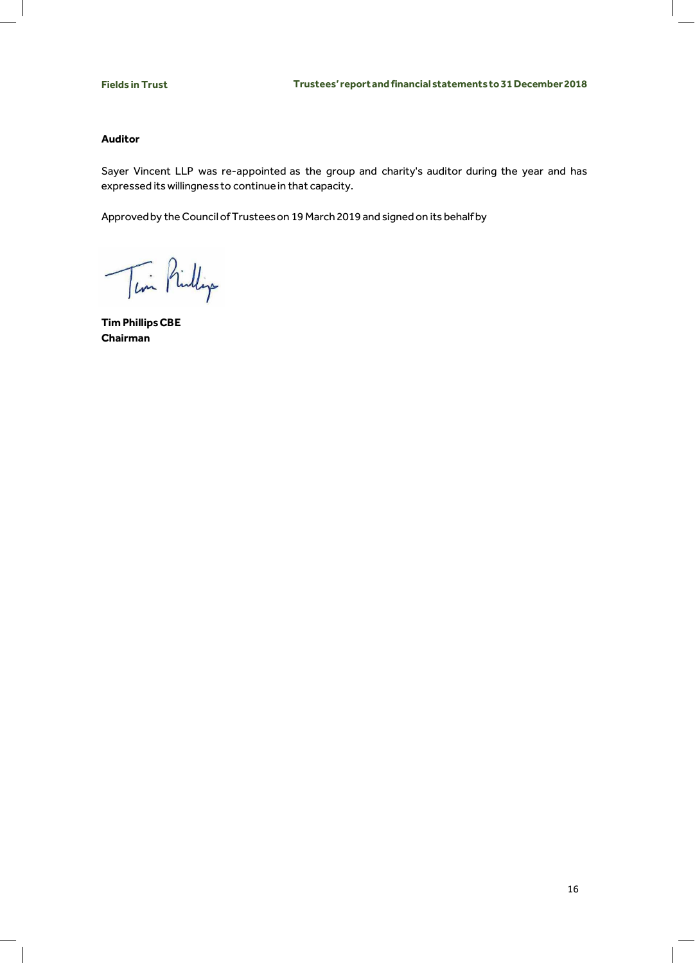## **Auditor**

Sayer Vincent LLP was re-appointed as the group and charity's auditor during the year and has expressed its willingnessto continuein that capacity.

Approved by the Council of Trustees on 19 March 2019 and signed on its behalf by

Tim Pinlip

**Tim PhillipsCBE Chairman**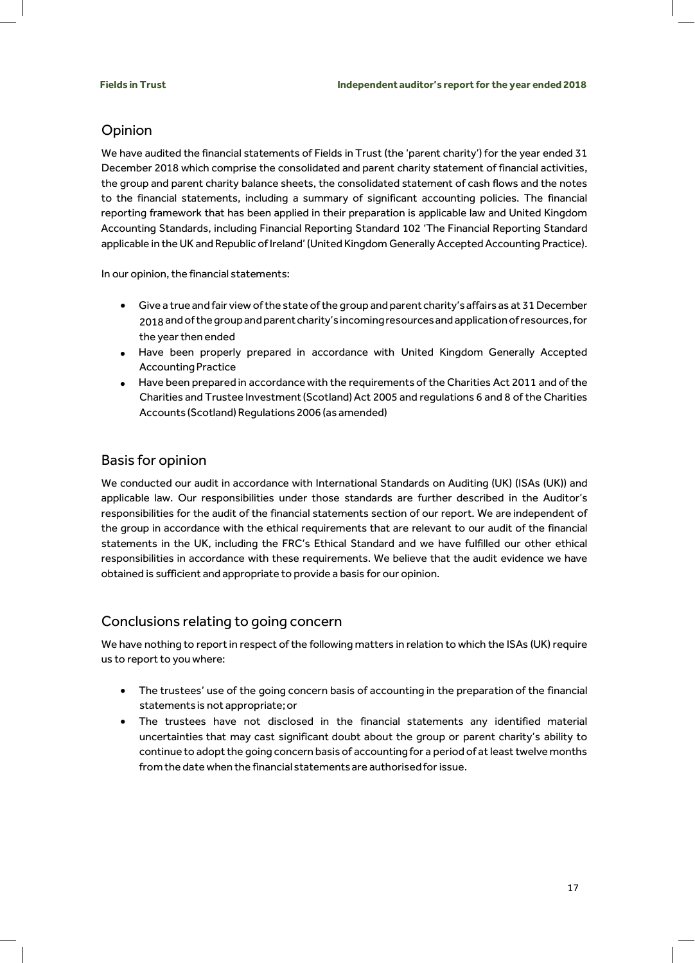## Opinion

We have audited the financial statements of Fields in Trust (the 'parent charity') for the year ended 31 December 2018 which comprise the consolidated and parent charity statement of financial activities, the group and parent charity balance sheets, the consolidated statement of cash flows and the notes to the financial statements, including a summary of significant accounting policies. The financial reporting framework that has been applied in their preparation is applicable law and United Kingdom Accounting Standards, including Financial Reporting Standard 102 'The Financial Reporting Standard applicable in the UK and Republic of Ireland' (United Kingdom Generally Accepted Accounting Practice).

In our opinion, the financial statements:

- Give a true and fair view ofthe state ofthe group andparent charity'saffairs as at 31 December 2018 andofthegroupandparentcharity'sincomingresourcesand applicationofresources,for the year then ended
- Have been properly prepared in accordance with United Kingdom Generally Accepted AccountingPractice
- Have been prepared in accordance with the requirements of the Charities Act 2011 and of the Charities and Trustee Investment (Scotland) Act 2005 and regulations 6 and 8 of the Charities Accounts (Scotland) Regulations 2006 (as amended)

## Basis for opinion

We conducted our audit in accordance with International Standards on Auditing (UK) (ISAs (UK)) and applicable law. Our responsibilities under those standards are further described in the Auditor's responsibilities for the audit of the financial statements section of our report. We are independent of the group in accordance with the ethical requirements that are relevant to our audit of the financial statements in the UK, including the FRC's Ethical Standard and we have fulfilled our other ethical responsibilities in accordance with these requirements. We believe that the audit evidence we have obtained is sufficient and appropriate to provide a basis for our opinion.

## Conclusions relating to going concern

We have nothing to report in respect of the following matters in relation to which the ISAs (UK) require us to report to you where:

- The trustees' use of the going concern basis of accounting in the preparation of the financial statements is not appropriate;or
- The trustees have not disclosed in the financial statements any identified material uncertainties that may cast significant doubt about the group or parent charity's ability to continue to adopt the going concern basis of accounting for a period of at least twelve months from the date when the financial statementsare authorisedfor issue.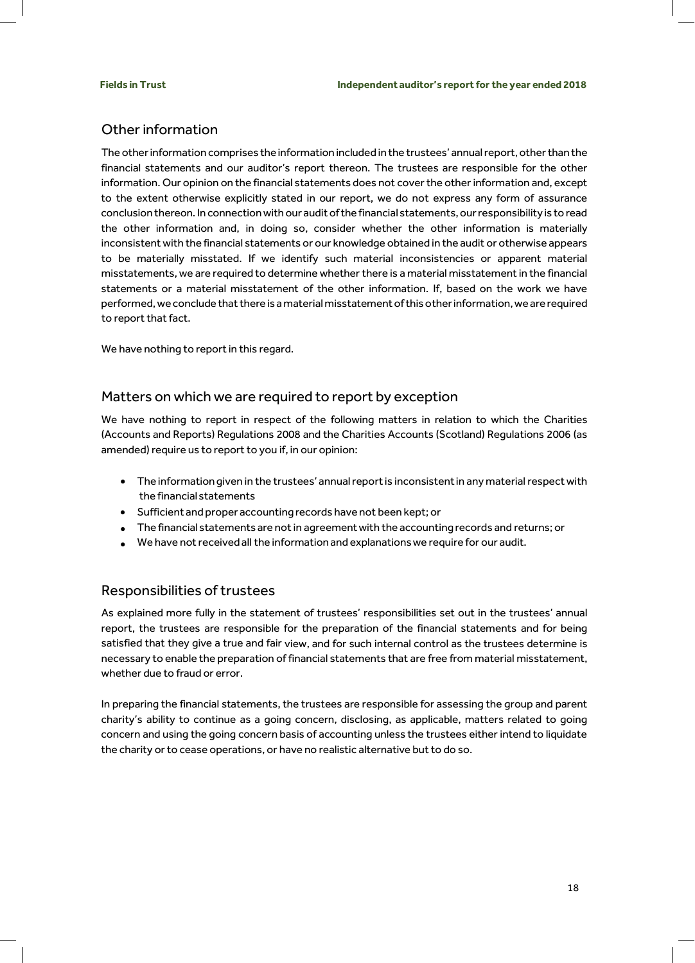## Other information

The other information comprises the information included in the trustees' annual report, other than the financial statements and our auditor's report thereon. The trustees are responsible for the other information. Our opinion on the financial statements does not coverthe other information and, except to the extent otherwise explicitly stated in our report, we do not express any form of assurance conclusion thereon. In connection with our audit of the financial statements, our responsibility is to read the other information and, in doing so, consider whether the other information is materially inconsistent with the financial statements or our knowledge obtained in the audit or otherwise appears to be materially misstated. If we identify such material inconsistencies or apparent material misstatements, we are required to determine whether there is a material misstatement in the financial statements or a material misstatement of the other information. If, based on the work we have performed, we conclude that there is a material misstatement of this other information, we are required to report that fact.

We have nothing to report in this regard.

## Matters on which we are required to report by exception

We have nothing to report in respect of the following matters in relation to which the Charities (Accounts and Reports) Regulations 2008 and the Charities Accounts (Scotland) Regulations 2006 (as amended) require us to report to you if, in our opinion:

- The informationgiven in the trustees' annualreportis inconsistentin any material respect with the financial statements
- Sufficient and proper accountingrecords have not been kept; or
- The financial statements are notin agreementwith the accountingrecords and returns; or
- $\bullet$  We have not received all the information and explanations we require for our audit.

## Responsibilities of trustees

As explained more fully in the statement of trustees' responsibilities set out in the trustees' annual report, the trustees are responsible for the preparation of the financial statements and for being satisfied that they give a true and fair view, and for such internal control as the trustees determine is necessary to enable the preparation of financial statements that are free from material misstatement, whether due to fraud or error.

In preparing the financial statements, the trustees are responsible for assessing the group and parent charity's ability to continue as a going concern, disclosing, as applicable, matters related to going concern and using the going concern basis of accounting unless the trustees either intend to liquidate the charity or to cease operations, or have no realistic alternative but to do so.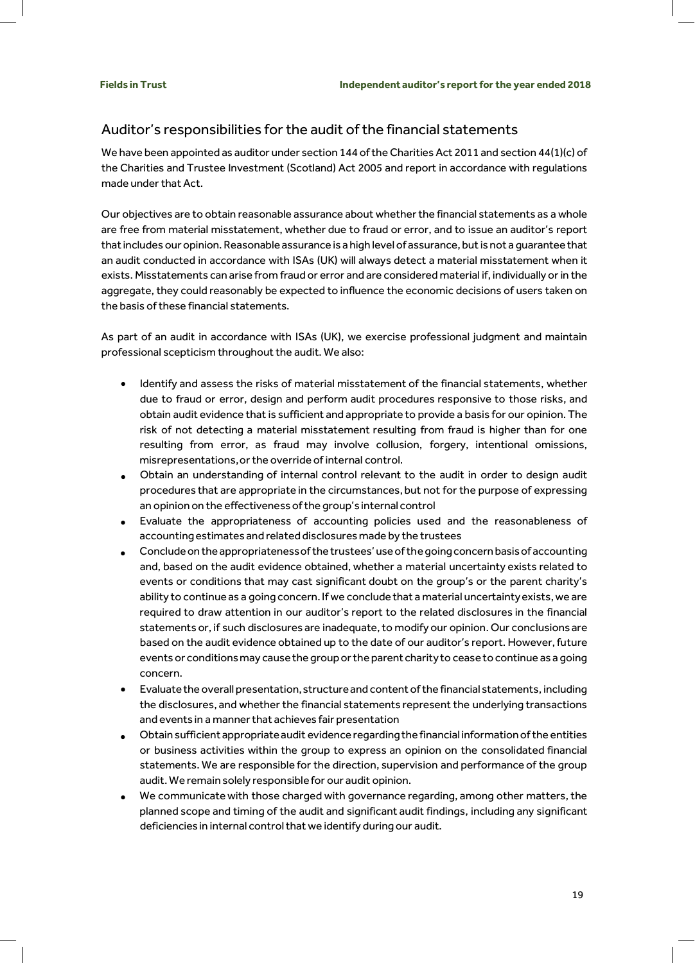## Auditor's responsibilities for the audit of the financial statements

We have been appointed as auditor under section 144 of the Charities Act 2011 and section 44(1)(c) of the Charities and Trustee Investment (Scotland) Act 2005 and report in accordance with regulations made under that Act.

Our objectives are to obtain reasonable assurance about whether the financial statements as a whole are free from material misstatement, whether due to fraud or error, and to issue an auditor's report that includes our opinion. Reasonable assurance is a high level of assurance, but is not a guarantee that an audit conducted in accordance with ISAs (UK) will always detect a material misstatement when it exists. Misstatements can arise from fraud or error and are considered material if, individually or in the aggregate, they could reasonably be expected to influence the economic decisions of users taken on the basis of these financial statements.

As part of an audit in accordance with ISAs (UK), we exercise professional judgment and maintain professional scepticism throughout the audit. We also:

- Identify and assess the risks of material misstatement of the financial statements, whether due to fraud or error, design and perform audit procedures responsive to those risks, and obtain audit evidence that is sufficient and appropriate to provide a basis for our opinion. The risk of not detecting a material misstatement resulting from fraud is higher than for one resulting from error, as fraud may involve collusion, forgery, intentional omissions, misrepresentations,orthe overrideof internal control.
- Obtain an understanding of internal control relevant to the audit in order to design audit procedures that are appropriate in the circumstances, but not for the purpose of expressing an opinion on the effectivenessofthe group's internal control
- Evaluate the appropriateness of accounting policies used and the reasonableness of accounting estimates and related disclosures made by the trustees
- $\bullet$  Conclude on the appropriateness of the trustees' use of the going concern basis of accounting and, based on the audit evidence obtained, whether a material uncertainty exists related to events or conditions that may cast significant doubt on the group's or the parent charity's ability to continue as a going concern. If we conclude that a material uncertainty exists, we are required to draw attention in our auditor's report to the related disclosures in the financial statements or, if such disclosures are inadequate, to modify our opinion. Our conclusions are based on the audit evidence obtained up to the date of our auditor's report. However,future events or conditions may cause the group or the parent charity to cease to continue as a going concern.
- Evaluate the overall presentation, structure and content of the financial statements, including the disclosures, and whether the financial statements represent the underlying transactions and events in a mannerthat achieves fair presentation
- $\bullet$  Obtain sufficient appropriate audit evidence regarding the financial information of the entities or business activities within the group to express an opinion on the consolidated financial statements. We are responsible for the direction, supervision and performance of the group audit. We remain solely responsiblefor our audit opinion.
- We communicate with those charged with governance regarding, among other matters, the planned scope and timing of the audit and significant audit findings, including any significant deficiencies in internal control that we identify during our audit.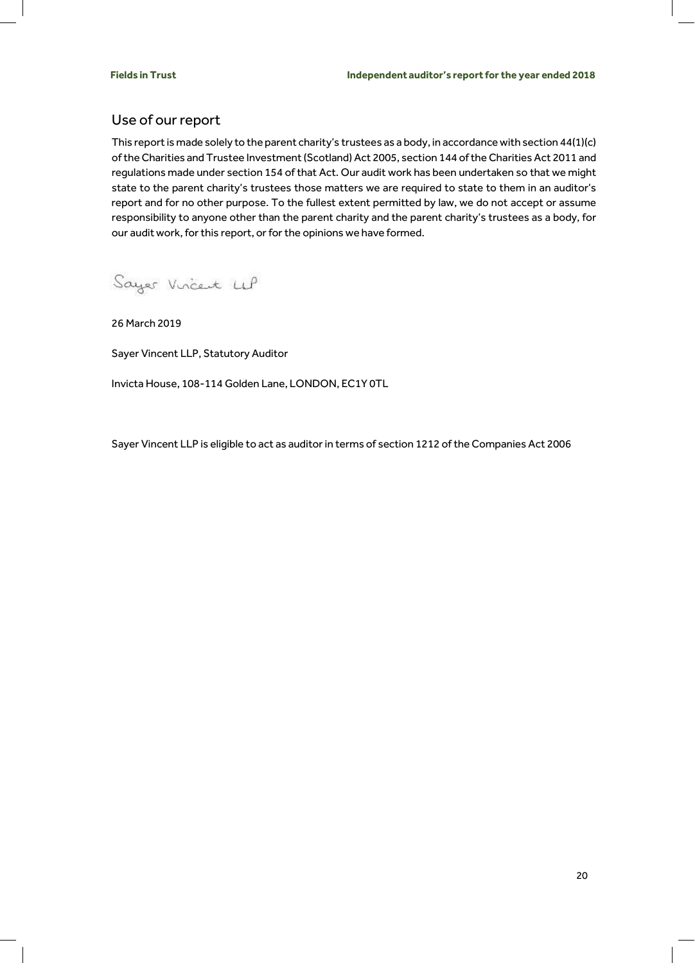## Use of our report

This reportis made solely to the parent charity's trustees as a body, in accordance with section 44(1)(c) of theCharities and Trustee Investment(Scotland) Act 2005, section 144 oftheCharities Act 2011 and regulations made under section 154 of that Act. Our audit work has been undertaken so that we might state to the parent charity's trustees those matters we are required to state to them in an auditor's report and for no other purpose. To the fullest extent permitted by law, we do not accept or assume responsibility to anyone other than the parent charity and the parent charity's trustees as a body, for our audit work, for this report, or for the opinions we have formed.

Sayer Vincent LLP

26 March 2019

Sayer Vincent LLP, Statutory Auditor

Invicta House, 108-114 Golden Lane, LONDON, EC1Y 0TL

Sayer Vincent LLP is eligible to act as auditor in terms of section 1212 of the Companies Act 2006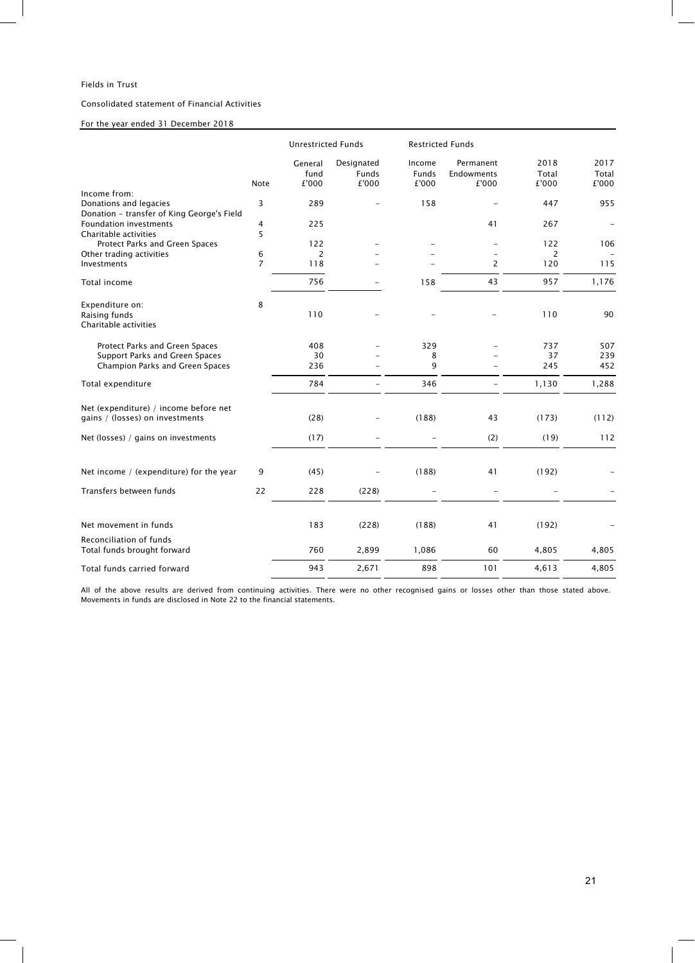### Consolidated statement of Financial Activities

## For the year ended 31 December 2018

|                                                                          |                | <b>Unrestricted Funds</b> |                              | <b>Restricted Funds</b>         |                                  |                        |                        |
|--------------------------------------------------------------------------|----------------|---------------------------|------------------------------|---------------------------------|----------------------------------|------------------------|------------------------|
|                                                                          | <b>Note</b>    | General<br>fund<br>£'000  | Designated<br>Funds<br>£'000 | Income<br><b>Funds</b><br>£'000 | Permanent<br>Endowments<br>£'000 | 2018<br>Total<br>£'000 | 2017<br>Total<br>£'000 |
| Income from:                                                             |                |                           |                              |                                 |                                  |                        |                        |
| Donations and legacies                                                   | 3              | 289                       |                              | 158                             |                                  | 447                    | 955                    |
| Donation - transfer of King George's Field                               |                |                           |                              |                                 |                                  |                        |                        |
| Foundation investments                                                   | 4              | 225                       |                              |                                 | 41                               | 267                    |                        |
| Charitable activities                                                    | 5              |                           |                              |                                 |                                  |                        |                        |
| Protect Parks and Green Spaces                                           |                | 122                       |                              |                                 | $\qquad \qquad -$                | 122                    | 106                    |
| Other trading activities                                                 | 6              | 2                         |                              |                                 |                                  | $\overline{c}$         |                        |
| Investments                                                              | $\overline{7}$ | 118                       |                              |                                 | $\overline{2}$                   | 120                    | 115                    |
| Total income                                                             |                | 756                       |                              | 158                             | 43                               | 957                    | 1,176                  |
| Expenditure on:                                                          | 8              |                           |                              |                                 |                                  |                        |                        |
| Raising funds                                                            |                | 110                       |                              |                                 |                                  | 110                    | 90                     |
| Charitable activities                                                    |                |                           |                              |                                 |                                  |                        |                        |
| Protect Parks and Green Spaces                                           |                | 408                       |                              | 329                             |                                  | 737                    | 507                    |
| Support Parks and Green Spaces                                           |                | 30                        |                              | 8                               |                                  | 37                     | 239                    |
| Champion Parks and Green Spaces                                          |                | 236                       |                              | 9                               |                                  | 245                    | 452                    |
| Total expenditure                                                        |                | 784                       | $\overline{a}$               | 346                             | $\overline{\phantom{0}}$         | 1,130                  | 1,288                  |
| Net (expenditure) / income before net<br>gains / (losses) on investments |                | (28)                      |                              | (188)                           | 43                               | (173)                  | (112)                  |
|                                                                          |                |                           |                              |                                 |                                  |                        |                        |
| Net (losses) / gains on investments                                      |                | (17)                      |                              |                                 | (2)                              | (19)                   | 112                    |
| Net income / (expenditure) for the year                                  | 9              | (45)                      |                              | (188)                           | 41                               | (192)                  |                        |
| Transfers between funds                                                  | 22             | 228                       | (228)                        |                                 |                                  |                        |                        |
| Net movement in funds                                                    |                | 183                       | (228)                        | (188)                           | 41                               | (192)                  |                        |
| Reconciliation of funds                                                  |                |                           |                              |                                 |                                  |                        |                        |
| Total funds brought forward                                              |                | 760                       | 2,899                        | 1,086                           | 60                               | 4,805                  | 4,805                  |
| Total funds carried forward                                              |                | 943                       | 2,671                        | 898                             | 101                              | 4,613                  | 4,805                  |

All of the above results are derived from continuing activities. There were no other recognised gains or losses other than those stated above. Movements in funds are disclosed in Note 22 to the financial statements.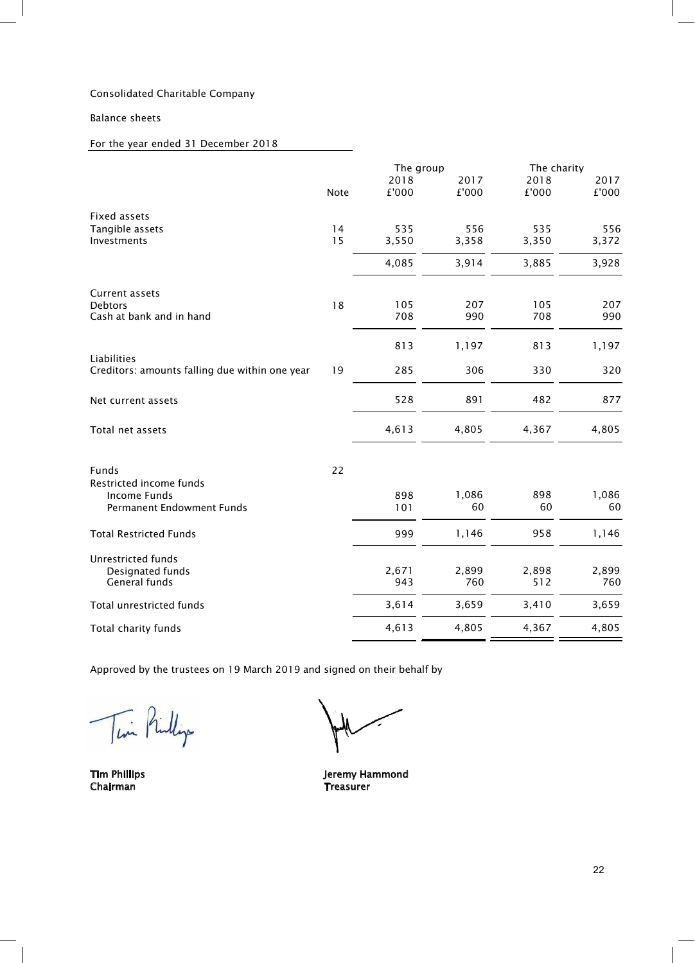## Consolidated Charitable Company

## Balance sheets

## For the year ended 31 December 2018

|                                                               |             | The group     |               |               | The charity   |  |
|---------------------------------------------------------------|-------------|---------------|---------------|---------------|---------------|--|
|                                                               | <b>Note</b> | 2018<br>£'000 | 2017<br>£'000 | 2018<br>£'000 | 2017<br>£'000 |  |
| Fixed assets                                                  |             |               |               |               |               |  |
| Tangible assets<br>Investments                                | 14<br>15    | 535<br>3,550  | 556<br>3,358  | 535<br>3,350  | 556<br>3,372  |  |
|                                                               |             | 4,085         | 3,914         | 3,885         | 3,928         |  |
| Current assets                                                |             |               |               |               |               |  |
| <b>Debtors</b><br>Cash at bank and in hand                    | 18          | 105<br>708    | 207<br>990    | 105<br>708    | 207<br>990    |  |
|                                                               |             | 813           | 1,197         | 813           | 1,197         |  |
| Liabilities<br>Creditors: amounts falling due within one year | 19          | 285           | 306           | 330           | 320           |  |
| Net current assets                                            |             | 528           | 891           | 482           | 877           |  |
| Total net assets                                              |             | 4,613         | 4,805         | 4,367         | 4,805         |  |
| Funds                                                         | 22          |               |               |               |               |  |
| Restricted income funds                                       |             | 898           | 1,086         | 898           | 1,086         |  |
| <b>Income Funds</b><br><b>Permanent Endowment Funds</b>       |             | 101           | 60            | 60            | 60            |  |
| <b>Total Restricted Funds</b>                                 |             | 999           | 1,146         | 958           | 1,146         |  |
| Unrestricted funds<br>Designated funds<br>General funds       |             | 2,671<br>943  | 2,899<br>760  | 2,898<br>512  | 2,899<br>760  |  |
| Total unrestricted funds                                      |             | 3,614         | 3,659         | 3,410         | 3,659         |  |
| Total charity funds                                           |             | 4,613         | 4,805         | 4,367         | 4,805         |  |

Approved by the trustees on 19 March 2019 and signed on their behalf by

Tim Prinling

Chairman

Tim Phillips Jeremy Hammond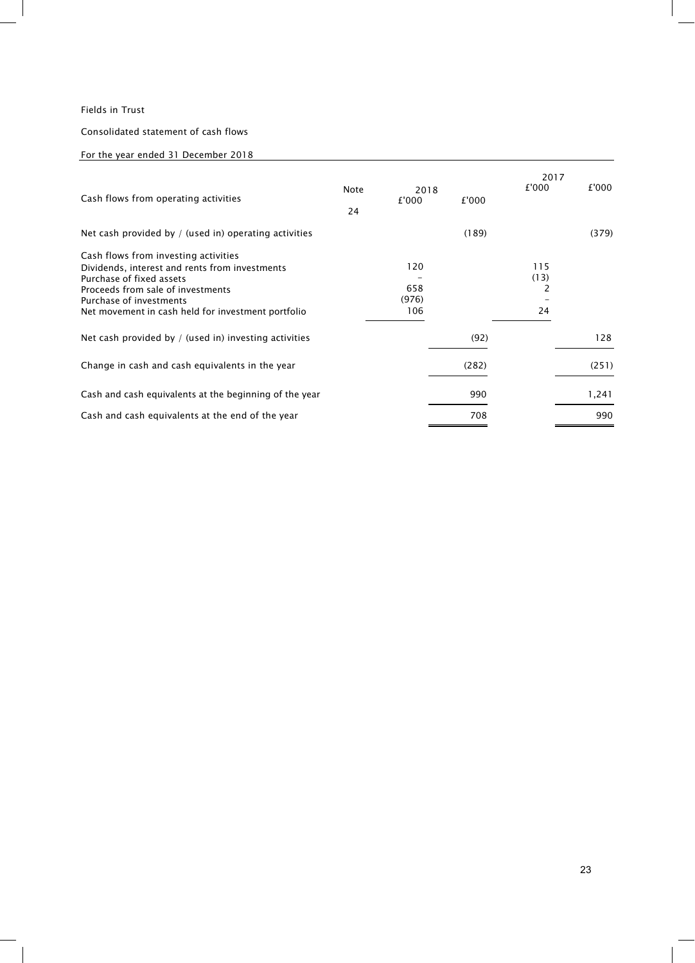## Consolidated statement of cash flows

## For the year ended 31 December 2018

| Cash flows from operating activities                                                                                                                                                                                                     | <b>Note</b><br>24 | 2018<br>£'000              | £'000 | 2017<br>£'000          | £'000 |
|------------------------------------------------------------------------------------------------------------------------------------------------------------------------------------------------------------------------------------------|-------------------|----------------------------|-------|------------------------|-------|
| Net cash provided by $/$ (used in) operating activities                                                                                                                                                                                  |                   |                            | (189) |                        | (379) |
| Cash flows from investing activities<br>Dividends, interest and rents from investments<br>Purchase of fixed assets<br>Proceeds from sale of investments<br>Purchase of investments<br>Net movement in cash held for investment portfolio |                   | 120<br>658<br>(976)<br>106 |       | 115<br>(13)<br>2<br>24 |       |
| Net cash provided by $/$ (used in) investing activities                                                                                                                                                                                  |                   |                            | (92)  |                        | 128   |
| Change in cash and cash equivalents in the year                                                                                                                                                                                          |                   |                            | (282) |                        | (251) |
| Cash and cash equivalents at the beginning of the year                                                                                                                                                                                   |                   |                            | 990   |                        | 1,241 |
| Cash and cash equivalents at the end of the year                                                                                                                                                                                         |                   |                            | 708   |                        | 990   |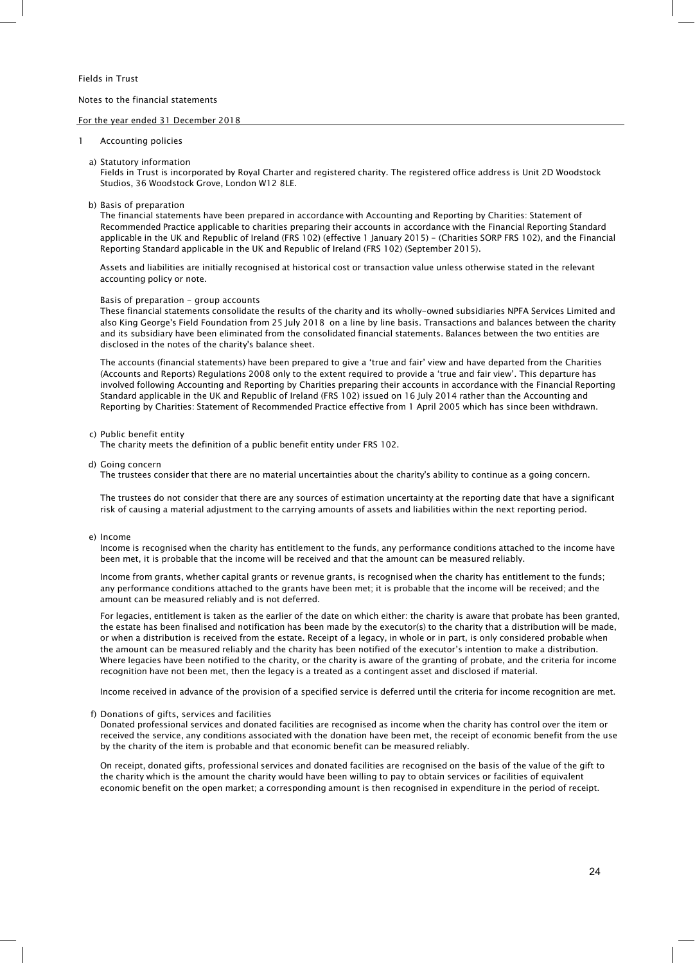### Notes to the financial statements

#### For the year ended 31 December 2018

#### 1 Accounting policies

#### a) Statutory information

Fields in Trust is incorporated by Royal Charter and registered charity. The registered office address is Unit 2D Woodstock Studios, 36 Woodstock Grove, London W12 8LE.

b) Basis of preparation

The financial statements have been prepared in accordance with Accounting and Reporting by Charities: Statement of Recommended Practice applicable to charities preparing their accounts in accordance with the Financial Reporting Standard applicable in the UK and Republic of Ireland (FRS 102) (effective 1 January 2015) - (Charities SORP FRS 102), and the Financial Reporting Standard applicable in the UK and Republic of Ireland (FRS 102) (September 2015).

Assets and liabilities are initially recognised at historical cost or transaction value unless otherwise stated in the relevant accounting policy or note.

#### Basis of preparation - group accounts

These financial statements consolidate the results of the charity and its wholly-owned subsidiaries NPFA Services Limited and also King George's Field Foundation from 25 July 2018 on a line by line basis. Transactions and balances between the charity and its subsidiary have been eliminated from the consolidated financial statements. Balances between the two entities are disclosed in the notes of the charity's balance sheet.

The accounts (financial statements) have been prepared to give a 'true and fair' view and have departed from the Charities (Accounts and Reports) Regulations 2008 only to the extent required to provide a 'true and fair view'. This departure has involved following Accounting and Reporting by Charities preparing their accounts in accordance with the Financial Reporting Standard applicable in the UK and Republic of Ireland (FRS 102) issued on 16 July 2014 rather than the Accounting and Reporting by Charities: Statement of Recommended Practice effective from 1 April 2005 which has since been withdrawn.

#### c) Public benefit entity

The charity meets the definition of a public benefit entity under FRS 102.

d) Going concern

The trustees consider that there are no material uncertainties about the charity's ability to continue as a going concern.

The trustees do not consider that there are any sources of estimation uncertainty at the reporting date that have a significant risk of causing a material adjustment to the carrying amounts of assets and liabilities within the next reporting period.

e) Income

Income is recognised when the charity has entitlement to the funds, any performance conditions attached to the income have been met, it is probable that the income will be received and that the amount can be measured reliably.

Income from grants, whether capital grants or revenue grants, is recognised when the charity has entitlement to the funds; any performance conditions attached to the grants have been met; it is probable that the income will be received; and the amount can be measured reliably and is not deferred.

For legacies, entitlement is taken as the earlier of the date on which either: the charity is aware that probate has been granted, the estate has been finalised and notification has been made by the executor(s) to the charity that a distribution will be made, or when a distribution is received from the estate. Receipt of a legacy, in whole or in part, is only considered probable when the amount can be measured reliably and the charity has been notified of the executor's intention to make a distribution. Where legacies have been notified to the charity, or the charity is aware of the granting of probate, and the criteria for income recognition have not been met, then the legacy is a treated as a contingent asset and disclosed if material.

Income received in advance of the provision of a specified service is deferred until the criteria for income recognition are met.

### f) Donations of gifts, services and facilities

Donated professional services and donated facilities are recognised as income when the charity has control over the item or received the service, any conditions associated with the donation have been met, the receipt of economic benefit from the use by the charity of the item is probable and that economic benefit can be measured reliably.

On receipt, donated gifts, professional services and donated facilities are recognised on the basis of the value of the gift to the charity which is the amount the charity would have been willing to pay to obtain services or facilities of equivalent economic benefit on the open market; a corresponding amount is then recognised in expenditure in the period of receipt.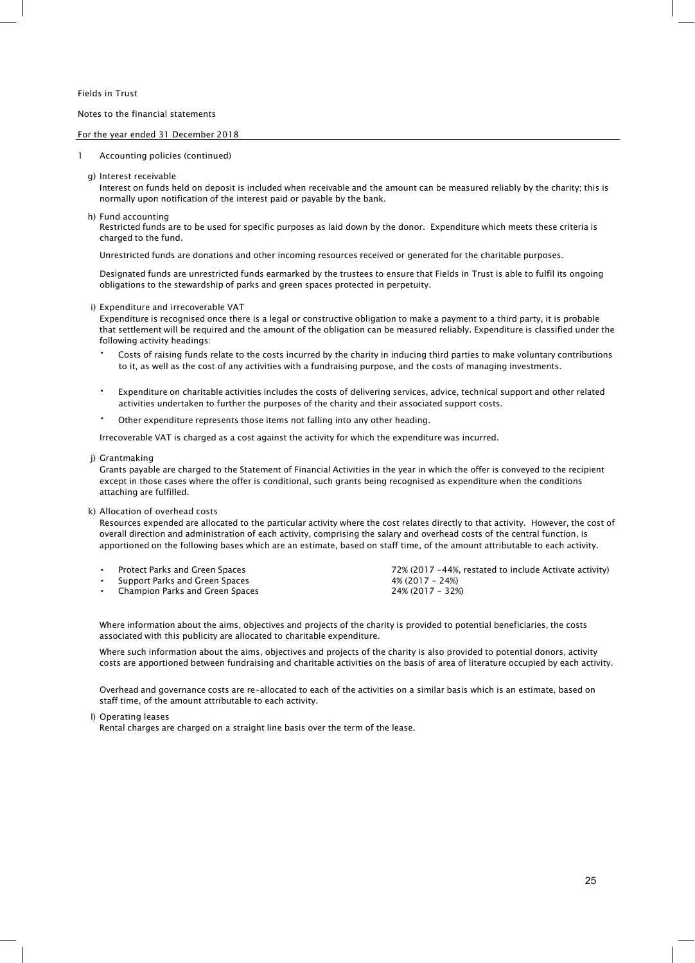#### Notes to the financial statements

#### For the year ended 31 December 2018

#### 1 Accounting policies (continued)

g) Interest receivable

Interest on funds held on deposit is included when receivable and the amount can be measured reliably by the charity; this is normally upon notification of the interest paid or payable by the bank.

h) Fund accounting

Restricted funds are to be used for specific purposes as laid down by the donor. Expenditure which meets these criteria is charged to the fund.

Unrestricted funds are donations and other incoming resources received or generated for the charitable purposes.

Designated funds are unrestricted funds earmarked by the trustees to ensure that Fields in Trust is able to fulfil its ongoing obligations to the stewardship of parks and green spaces protected in perpetuity.

#### i) Expenditure and irrecoverable VAT

Expenditure is recognised once there is a legal or constructive obligation to make a payment to a third party, it is probable that settlement will be required and the amount of the obligation can be measured reliably. Expenditure is classified under the following activity headings:

- Costs of raising funds relate to the costs incurred by the charity in inducing third parties to make voluntary contributions to it, as well as the cost of any activities with a fundraising purpose, and the costs of managing investments.
- Expenditure on charitable activities includes the costs of delivering services, advice, technical support and other related activities undertaken to further the purposes of the charity and their associated support costs.
- Other expenditure represents those items not falling into any other heading.

Irrecoverable VAT is charged as a cost against the activity for which the expenditure was incurred.

j) Grantmaking

Grants payable are charged to the Statement of Financial Activities in the year in which the offer is conveyed to the recipient except in those cases where the offer is conditional, such grants being recognised as expenditure when the conditions attaching are fulfilled.

k) Allocation of overhead costs

Resources expended are allocated to the particular activity where the cost relates directly to that activity. However, the cost of overall direction and administration of each activity, comprising the salary and overhead costs of the central function, is apportioned on the following bases which are an estimate, based on staff time, of the amount attributable to each activity.

| Protect Parks and Green Spaces  | 72% (2017 -44%, restated to include Activate activity) |
|---------------------------------|--------------------------------------------------------|
| Support Parks and Green Spaces  | 4% (2017 – 24%)                                        |
| Champion Parks and Green Spaces | $24\%$ (2017 – 32%)                                    |
|                                 |                                                        |

Where information about the aims, objectives and projects of the charity is provided to potential beneficiaries, the costs associated with this publicity are allocated to charitable expenditure.

Where such information about the aims, objectives and projects of the charity is also provided to potential donors, activity costs are apportioned between fundraising and charitable activities on the basis of area of literature occupied by each activity.

Overhead and governance costs are re-allocated to each of the activities on a similar basis which is an estimate, based on staff time, of the amount attributable to each activity.

l) Operating leases

Rental charges are charged on a straight line basis over the term of the lease.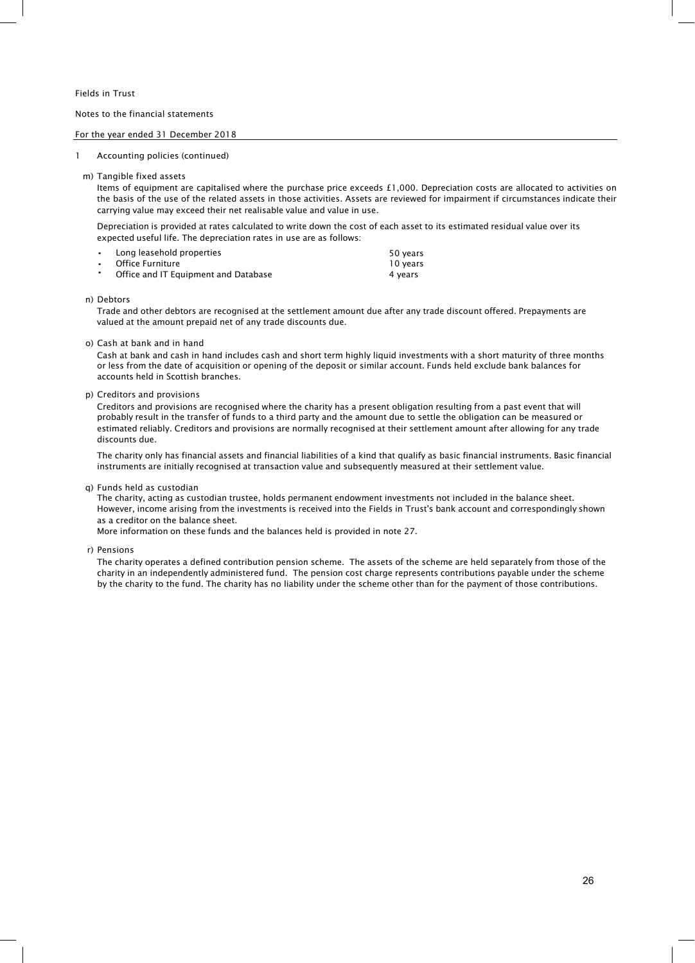### Notes to the financial statements

#### For the year ended 31 December 2018

#### 1 Accounting policies (continued)

m) Tangible fixed assets

Items of equipment are capitalised where the purchase price exceeds £1,000. Depreciation costs are allocated to activities on the basis of the use of the related assets in those activities. Assets are reviewed for impairment if circumstances indicate their carrying value may exceed their net realisable value and value in use.

Depreciation is provided at rates calculated to write down the cost of each asset to its estimated residual value over its expected useful life. The depreciation rates in use are as follows:

|        | Long leasehold properties            | 50 years |
|--------|--------------------------------------|----------|
| $\sim$ | Office Furniture                     | 10 vears |
|        | Office and IT Equipment and Database | 4 vears  |

n) Debtors

Trade and other debtors are recognised at the settlement amount due after any trade discount offered. Prepayments are valued at the amount prepaid net of any trade discounts due.

o) Cash at bank and in hand

Cash at bank and cash in hand includes cash and short term highly liquid investments with a short maturity of three months or less from the date of acquisition or opening of the deposit or similar account. Funds held exclude bank balances for accounts held in Scottish branches.

p) Creditors and provisions

Creditors and provisions are recognised where the charity has a present obligation resulting from a past event that will probably result in the transfer of funds to a third party and the amount due to settle the obligation can be measured or estimated reliably. Creditors and provisions are normally recognised at their settlement amount after allowing for any trade discounts due.

The charity only has financial assets and financial liabilities of a kind that qualify as basic financial instruments. Basic financial instruments are initially recognised at transaction value and subsequently measured at their settlement value.

q) Funds held as custodian

The charity, acting as custodian trustee, holds permanent endowment investments not included in the balance sheet. However, income arising from the investments is received into the Fields in Trust's bank account and correspondingly shown as a creditor on the balance sheet.

More information on these funds and the balances held is provided in note 27.

#### r) Pensions

The charity operates a defined contribution pension scheme. The assets of the scheme are held separately from those of the charity in an independently administered fund. The pension cost charge represents contributions payable under the scheme by the charity to the fund. The charity has no liability under the scheme other than for the payment of those contributions.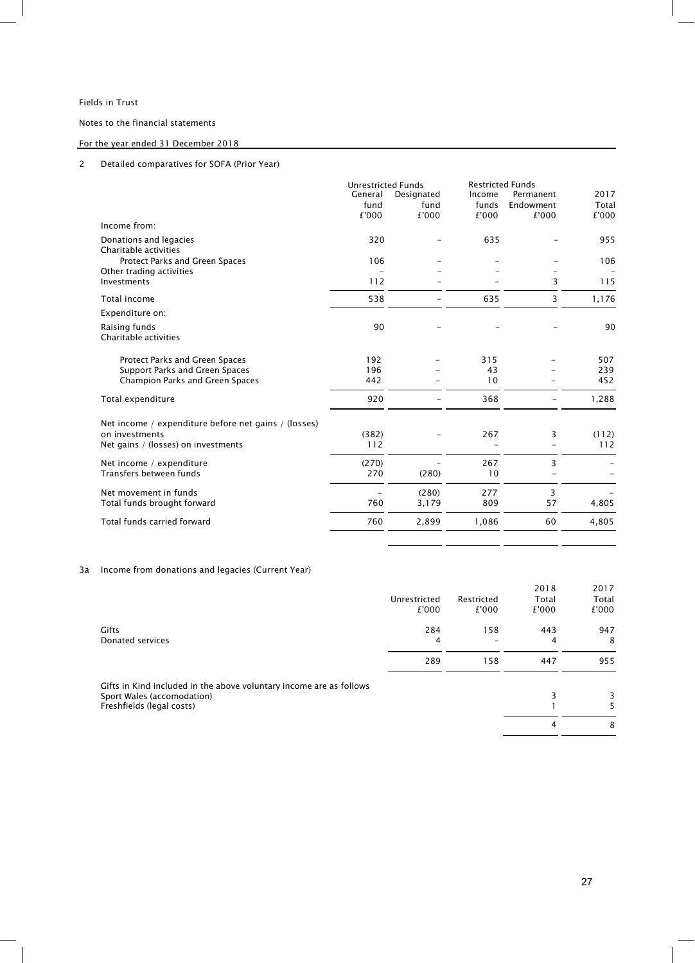### Notes to the financial statements

## For the year ended 31 December 2018

## 2 Detailed comparatives for SOFA (Prior Year)

|                                                                                                               | <b>Unrestricted Funds</b><br>General<br>fund<br>£'000 | Designated<br>fund<br>£'000 | <b>Restricted Funds</b><br>Income<br>funds<br>£'000 | Permanent<br>Endowment<br>£'000 | 2017<br>Total<br>£'000 |
|---------------------------------------------------------------------------------------------------------------|-------------------------------------------------------|-----------------------------|-----------------------------------------------------|---------------------------------|------------------------|
| Income from:                                                                                                  |                                                       |                             |                                                     |                                 |                        |
| Donations and legacies<br>Charitable activities                                                               | 320                                                   |                             | 635                                                 |                                 | 955                    |
| Protect Parks and Green Spaces                                                                                | 106                                                   |                             |                                                     |                                 | 106                    |
| Other trading activities<br>Investments                                                                       | 112                                                   |                             |                                                     | 3                               | 115                    |
| Total income                                                                                                  | 538                                                   |                             | 635                                                 | 3                               | 1,176                  |
| Expenditure on:                                                                                               |                                                       |                             |                                                     |                                 |                        |
| Raising funds<br>Charitable activities                                                                        | 90                                                    |                             |                                                     |                                 | 90                     |
| Protect Parks and Green Spaces<br><b>Support Parks and Green Spaces</b><br>Champion Parks and Green Spaces    | 192<br>196<br>442                                     |                             | 315<br>43<br>10                                     |                                 | 507<br>239<br>452      |
| Total expenditure                                                                                             | 920                                                   |                             | 368                                                 |                                 | 1,288                  |
| Net income / expenditure before net gains / (losses)<br>on investments<br>Net gains / (losses) on investments | (382)<br>112                                          |                             | 267                                                 | 3                               | (112)<br>112           |
| Net income / expenditure<br>Transfers between funds                                                           | (270)<br>270                                          | (280)                       | 267<br>10                                           | 3                               |                        |
| Net movement in funds<br>Total funds brought forward                                                          | 760                                                   | (280)<br>3,179              | 277<br>809                                          | 3<br>57                         | 4,805                  |
| Total funds carried forward                                                                                   | 760                                                   | 2,899                       | 1,086                                               | 60                              | 4,805                  |
|                                                                                                               |                                                       |                             |                                                     |                                 |                        |

## 3a Income from donations and legacies (Current Year)

| Total |
|-------|
| £'000 |
| 947   |
| 8     |
| 955   |
|       |
|       |
|       |
| 8     |
|       |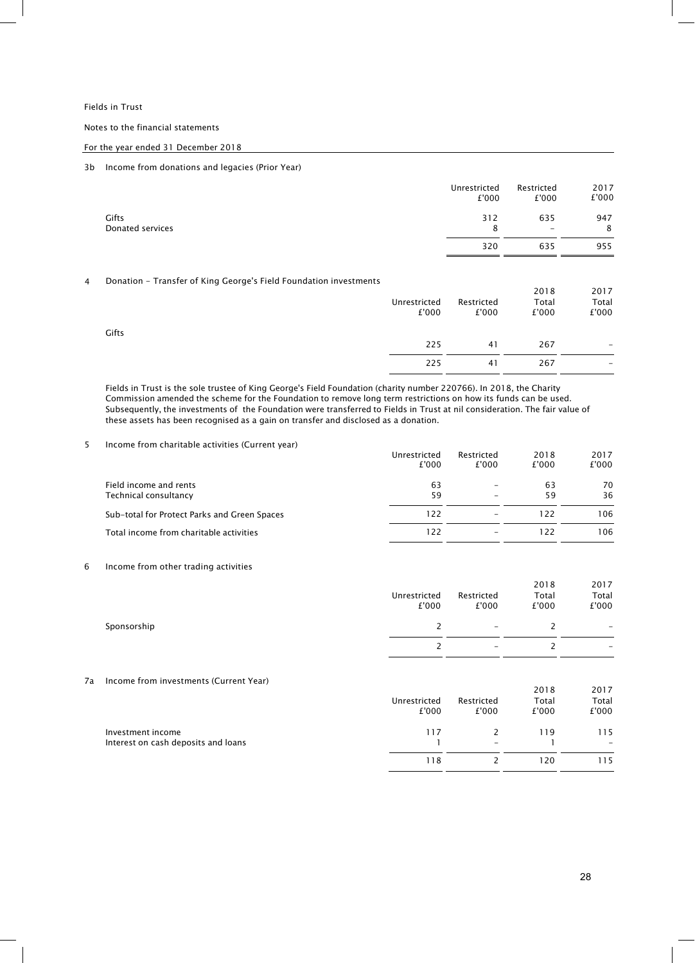Notes to the financial statements

#### For the year ended 31 December 2018

## 3b Income from donations and legacies (Prior Year)

|                                                                   | Unrestricted | Restricted | 2017  |
|-------------------------------------------------------------------|--------------|------------|-------|
|                                                                   | £'000        | £'000      | £'000 |
| Gifts                                                             | 312          | 635        | 947   |
| Donated services                                                  | 8            | -          | 8     |
|                                                                   | 320          | 635        | 955   |
| Donation - Transfer of King George's Field Foundation investments |              |            |       |

## 4 Donation - Transfer of King George's Field Foundation investments

|       | Unrestricted<br>£'000 | Restricted<br>£'000 | 2018<br>Total<br>£'000 | 2017<br>Total<br>£'000 |
|-------|-----------------------|---------------------|------------------------|------------------------|
| Gifts | 225                   | 41                  | 267                    | -                      |
|       | 225                   | 41                  | 267                    | -                      |

Fields in Trust is the sole trustee of King George's Field Foundation (charity number 220766). In 2018, the Charity Commission amended the scheme for the Foundation to remove long term restrictions on how its funds can be used. Subsequently, the investments of the Foundation were transferred to Fields in Trust at nil consideration. The fair value of these assets has been recognised as a gain on transfer and disclosed as a donation.

#### 5 Income from charitable activities (Current year)

|                                              | Unrestricted | Restricted               | 2018  | 2017  |
|----------------------------------------------|--------------|--------------------------|-------|-------|
|                                              | £'000        | £'000                    | £'000 | £'000 |
| Field income and rents                       | 63           | -                        | 63    | 70    |
| Technical consultancy                        | 59           | $\overline{\phantom{m}}$ | 59    | 36    |
| Sub-total for Protect Parks and Green Spaces | 122          | $\overline{\phantom{a}}$ | 122   | 106   |
| Total income from charitable activities      | 122          | -                        | 122   | 106   |

#### 6 Income from other trading activities

|    |                                                          | Unrestricted<br>£'000 | Restricted<br>£'000 | 2018<br>Total<br>£'000 | 2017<br>Total<br>£'000 |
|----|----------------------------------------------------------|-----------------------|---------------------|------------------------|------------------------|
|    | Sponsorship                                              | 2                     |                     | 2                      |                        |
|    |                                                          | 2                     |                     | 2                      |                        |
| 7a | Income from investments (Current Year)                   | Unrestricted<br>£'000 | Restricted<br>£'000 | 2018<br>Total<br>£'000 | 2017<br>Total<br>£'000 |
|    | Investment income<br>Interest on cash deposits and loans | 117                   | 2                   | 119                    | 115                    |
|    |                                                          | 118                   | 2                   | 120                    | 115                    |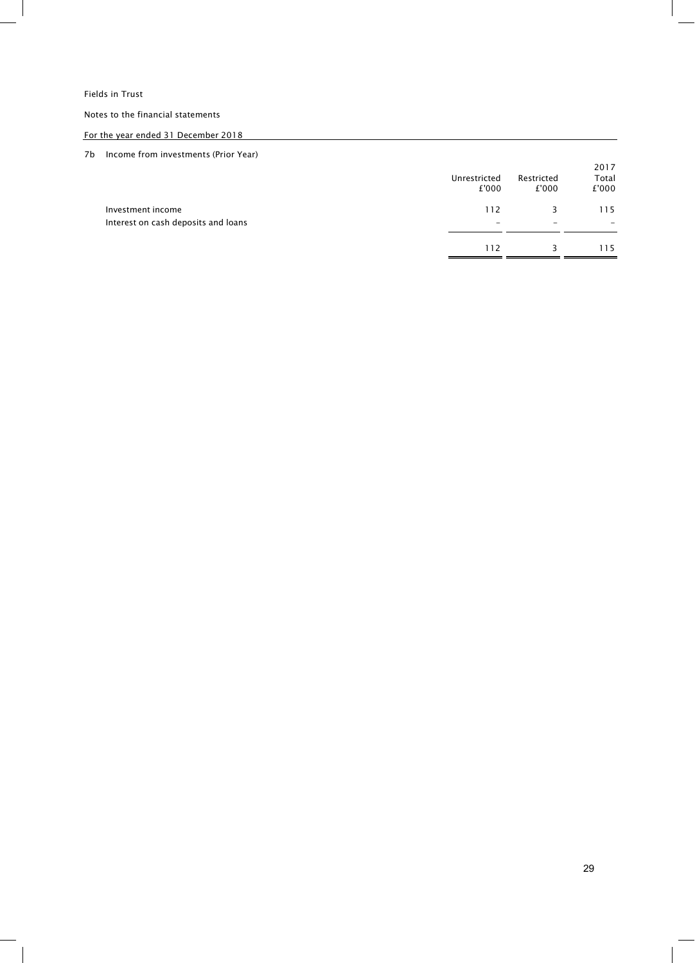## Notes to the financial statements

## For the year ended 31 December 2018

## 7b Income from investments (Prior Year)

|                                     | Unrestricted<br>£'000 | Restricted<br>£'000 | 2017<br>Total<br>£'000   |
|-------------------------------------|-----------------------|---------------------|--------------------------|
| Investment income                   | 112                   | 3.                  | 115                      |
| Interest on cash deposits and loans | -                     | -                   | $\overline{\phantom{0}}$ |
|                                     | 112                   |                     | 115                      |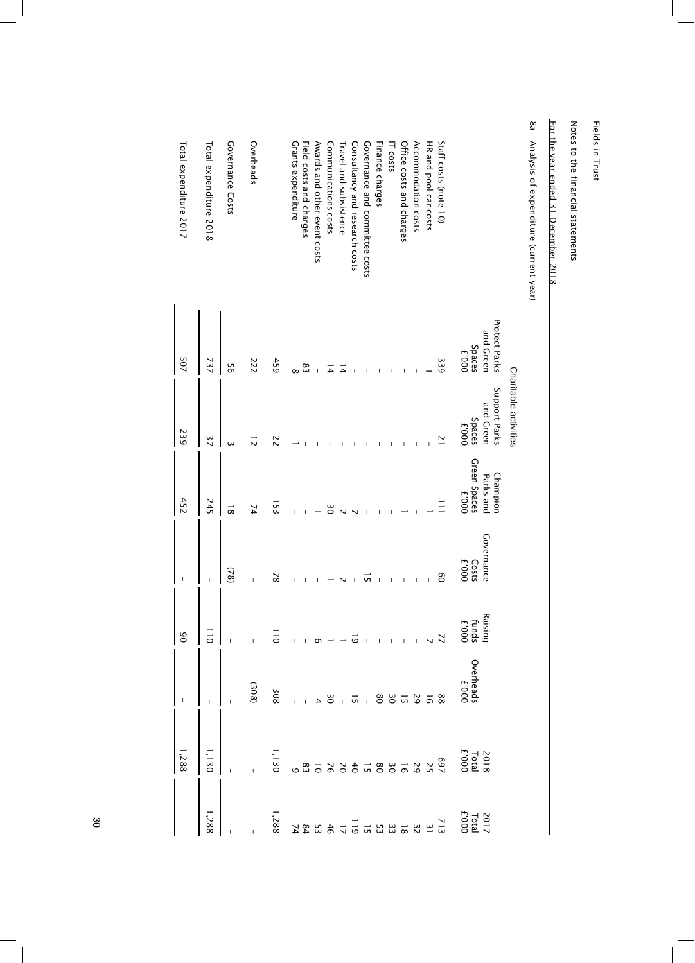| 8a<br>Analysis of expenditure (current year) |                            |                            |                       |                 |                           |                      |                        |                                       |
|----------------------------------------------|----------------------------|----------------------------|-----------------------|-----------------|---------------------------|----------------------|------------------------|---------------------------------------|
|                                              |                            | Charitable activities      |                       |                 |                           |                      |                        |                                       |
|                                              | Protect Parks<br>and Green | Support Parks<br>and Green | Champion<br>Parks and | Governance      |                           |                      |                        |                                       |
|                                              | Spaces<br>000,3            | Spaces<br>000,3            | Green Spaces<br>E'000 | E'000<br>Costs  | Raising<br>funds<br>£'000 | Overheads<br>$E'000$ | 2018<br>Total<br>£'000 | 2017<br>Total<br>£'00C                |
| Staff costs (note 10)                        | 339                        | $\overline{c}$             | Ξ                     | 80              | $\overline{z}$            | 88                   |                        | $\frac{1}{2} \frac{1}{2} \frac{1}{2}$ |
| HR and pool car costs                        |                            | Ï                          |                       | $\sf I$         |                           |                      |                        |                                       |
| Accommodation costs                          |                            |                            |                       | I               |                           |                      |                        |                                       |
| Office costs and charges                     |                            |                            |                       |                 |                           |                      |                        |                                       |
| T costs                                      |                            |                            |                       |                 |                           |                      |                        |                                       |
| Finance charges                              |                            |                            |                       |                 |                           |                      |                        |                                       |
| Governance and committee costs               |                            |                            |                       | UΠ              |                           |                      |                        |                                       |
| Consultancy and research costs               |                            |                            |                       |                 | $- - \frac{1}{6}$         |                      |                        |                                       |
| <b>Travel and subsistence</b>                | 4                          |                            |                       |                 |                           |                      |                        |                                       |
| Communications costs                         | 4                          |                            | δg                    |                 |                           | $\frac{9}{6}$        |                        |                                       |
| Awards and other event costs                 |                            |                            |                       |                 |                           |                      |                        |                                       |
| Field costs and charges                      | 83                         |                            |                       |                 |                           |                      | 83                     | $\frac{84}{7}$                        |
| Grants expenditure                           | $\infty$                   |                            |                       |                 |                           |                      |                        |                                       |
|                                              | 459                        | 22                         | 153                   | $\approx$       | 011                       | 308                  | 1,130                  | 1,28                                  |
| Overheads                                    | 222                        | $\overline{z}$             | 74                    | $\sf I$         |                           | (308)                |                        |                                       |
| Governance Costs                             | 95                         | ω                          | $\overline{8}$        | $\widetilde{S}$ |                           |                      |                        |                                       |
| Total expenditure 2018                       | 737                        | 37                         | 245                   |                 |                           |                      | 1, 130                 | 1,288                                 |
| Total expenditure 2017                       | 507                        | 239                        | 452                   |                 | 8 <sup>o</sup>            |                      | 1,288                  |                                       |
|                                              |                            |                            |                       |                 |                           |                      |                        |                                       |

Fields E Trust

Notes to the financial statements

30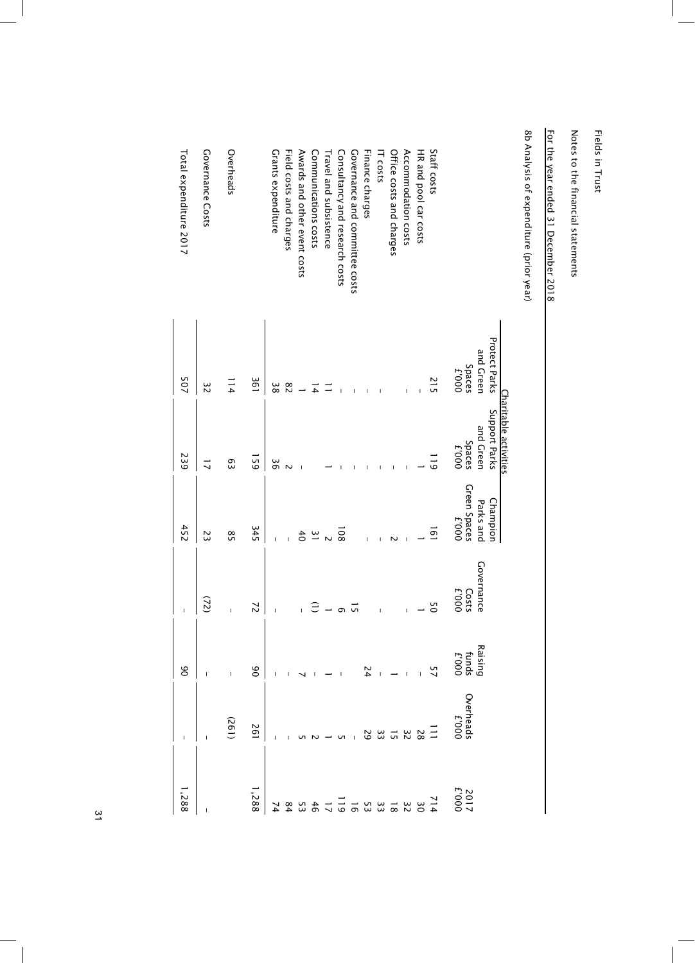| For the year ended 31 December 2018     |                                              |                                                                               |                                               |                             |                           |                            |              |
|-----------------------------------------|----------------------------------------------|-------------------------------------------------------------------------------|-----------------------------------------------|-----------------------------|---------------------------|----------------------------|--------------|
| 8b Analysis of expenditure (prior year) |                                              |                                                                               |                                               |                             |                           |                            |              |
|                                         | Protect Parks<br>and Green<br>Spaces<br>0003 | <u>Charitable activities</u><br>Support Parks<br>and Green<br>Spaces<br>000.3 | Green Spaces<br>Champion<br>Parks and<br>0003 | Governance<br>1000<br>Costs | Raising<br>funds<br>£'000 | $\frac{1}{2}$<br>specheads | 2017<br>1007 |
| Staff costs                             | 215                                          | $\frac{1}{6}$                                                                 | 191                                           | SO                          | $\frac{5}{7}$             |                            |              |
| HR and pool car costs                   |                                              |                                                                               |                                               |                             |                           |                            |              |
| Accommodation costs                     | $\overline{\phantom{a}}$                     | $\mathbf{I}$                                                                  | I                                             | I                           |                           |                            |              |
| Office costs and charges                |                                              |                                                                               | N                                             |                             |                           |                            |              |
| IT costs                                |                                              |                                                                               |                                               |                             |                           |                            |              |
| Finance charges                         |                                              |                                                                               |                                               |                             | $\overline{z}$            |                            |              |
| Governance and committee costs          |                                              |                                                                               |                                               | ÜЛ                          |                           |                            |              |
| Consultancy and research costs          |                                              |                                                                               | $\overline{5}$                                | Ō                           |                           |                            |              |
| Travel and subsistence                  |                                              |                                                                               | $\overline{v}$                                |                             |                           |                            |              |
| Communications costs                    | 4                                            |                                                                               | $\approx$                                     | Ξ                           |                           |                            |              |
| Awards and other event costs            |                                              |                                                                               | $^{40}$                                       |                             |                           |                            |              |
| Field costs and charges                 | 82                                           | $\sim$                                                                        | $\overline{1}$                                |                             |                           |                            | 84           |
| Grants expenditure                      | 38                                           | 96                                                                            | Ï                                             |                             |                           |                            |              |
|                                         | 361                                          | <b>159</b>                                                                    | 345                                           | $\overline{c}$              | 80                        | 197                        |              |
| Overheads                               | $\frac{1}{4}$                                | 63                                                                            | $\frac{8}{5}$                                 |                             |                           | (561)                      |              |
| Governance Costs                        | 32                                           |                                                                               | 23                                            | (Z)                         |                           |                            |              |
| Total expenditure 2017                  | 507                                          | 239                                                                           | 452                                           |                             | 80                        |                            | 1,288        |
|                                         |                                              |                                                                               |                                               |                             |                           |                            |              |

Notes to the financial statements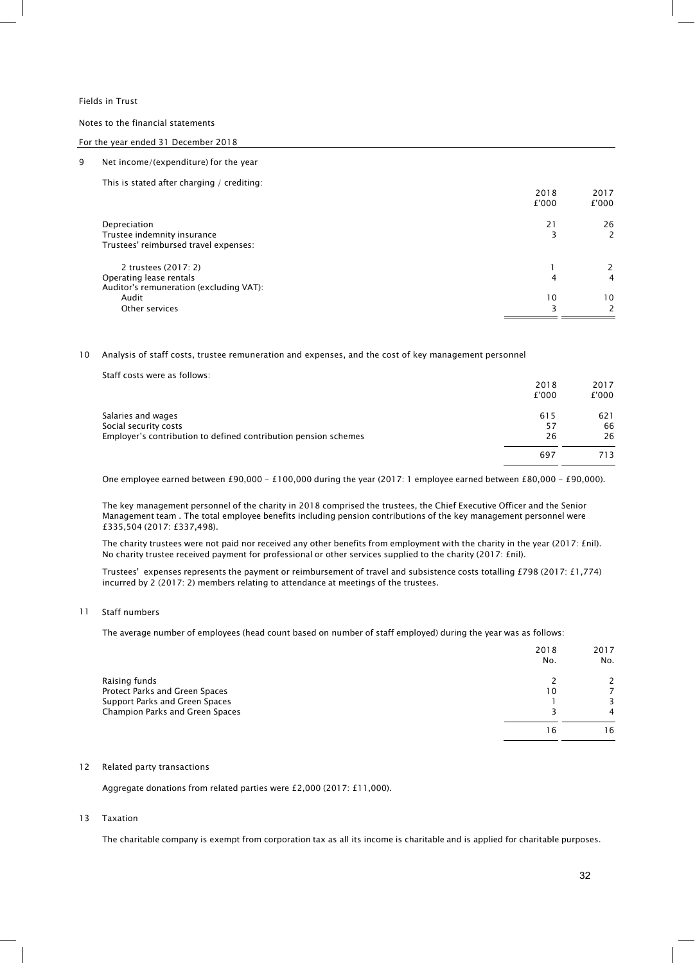Notes to the financial statements

For the year ended 31 December 2018

#### 9 Net income/(expenditure) for the year

This is stated after charging / crediting:

|                                         | 2018<br>£'000 | 2017<br>£'000 |
|-----------------------------------------|---------------|---------------|
| Depreciation                            | 21            | 26            |
| Trustee indemnity insurance             |               |               |
| Trustees' reimbursed travel expenses:   |               |               |
| 2 trustees (2017: 2)                    |               |               |
| Operating lease rentals                 | 4             | 4             |
| Auditor's remuneration (excluding VAT): |               |               |
| Audit                                   | 10            | 10            |
| Other services                          |               |               |

10 Analysis of staff costs, trustee remuneration and expenses, and the cost of key management personnel

| Staff costs were as follows:                                                                                   | 2018<br>£'000   | 2017<br>£'000   |
|----------------------------------------------------------------------------------------------------------------|-----------------|-----------------|
| Salaries and wages<br>Social security costs<br>Employer's contribution to defined contribution pension schemes | 615<br>57<br>26 | 621<br>66<br>26 |
|                                                                                                                | 697             | 713             |
|                                                                                                                |                 |                 |

One employee earned between £90,000 - £100,000 during the year (2017: 1 employee earned between £80,000 - £90,000).

The key management personnel of the charity in 2018 comprised the trustees, the Chief Executive Officer and the Senior Management team . The total employee benefits including pension contributions of the key management personnel were £335,504 (2017: £337,498).

The charity trustees were not paid nor received any other benefits from employment with the charity in the year (2017: £nil). No charity trustee received payment for professional or other services supplied to the charity (2017: £nil).

Trustees' expenses represents the payment or reimbursement of travel and subsistence costs totalling £798 (2017: £1,774) incurred by 2 (2017: 2) members relating to attendance at meetings of the trustees.

#### 11 Staff numbers

The average number of employees (head count based on number of staff employed) during the year was as follows:

|                                        | 2018<br>No. | 2017<br>No. |
|----------------------------------------|-------------|-------------|
| Raising funds                          |             |             |
| Protect Parks and Green Spaces         | 10          |             |
| <b>Support Parks and Green Spaces</b>  |             |             |
| <b>Champion Parks and Green Spaces</b> |             | Δ           |
|                                        | რ           | 16          |

### 12 Related party transactions

Aggregate donations from related parties were £2,000 (2017: £11,000).

13 Taxation

The charitable company is exempt from corporation tax as all its income is charitable and is applied for charitable purposes.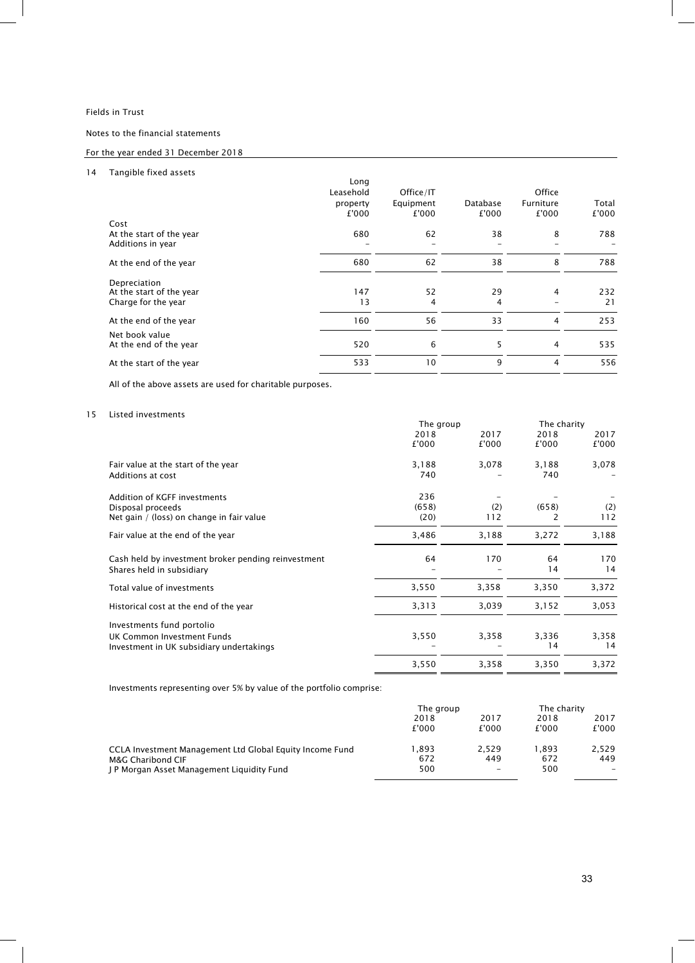## Notes to the financial statements

For the year ended 31 December 2018

14 Tangible fixed assets

|                          | Long      |           |          |           |       |
|--------------------------|-----------|-----------|----------|-----------|-------|
|                          | Leasehold | Office/IT |          | Office    |       |
|                          | property  | Equipment | Database | Furniture | Total |
|                          | £'000     | £'000     | £'000    | £'000     | £'000 |
| Cost                     |           |           |          |           |       |
| At the start of the year | 680       | 62        | 38       | 8         | 788   |
| Additions in year        |           |           |          |           |       |
| At the end of the year   | 680       | 62        | 38       | 8         | 788   |
| Depreciation             |           |           |          |           |       |
| At the start of the year | 147       | 52        | 29       | 4         | 232   |
| Charge for the year      | 13        | 4         | 4        |           | 21    |
| At the end of the year   | 160       | 56        | 33       | 4         | 253   |
| Net book value           |           |           |          |           |       |
| At the end of the year   | 520       | 6         | 5        | 4         | 535   |
| At the start of the year | 533       | 10        | 9        | 4         | 556   |

All of the above assets are used for charitable purposes.

#### 15 Listed investments

|                                                                                  | The group |       | The charity |           |
|----------------------------------------------------------------------------------|-----------|-------|-------------|-----------|
|                                                                                  | 2018      | 2017  | 2018        | 2017      |
|                                                                                  | £'000     | £'000 | £'000       | £'000     |
| Fair value at the start of the year                                              | 3,188     | 3,078 | 3,188       | 3,078     |
| Additions at cost                                                                | 740       |       | 740         |           |
| Addition of KGFF investments                                                     | 236       |       |             |           |
| Disposal proceeds                                                                | (658)     | (2)   | (658)       | (2)       |
| Net gain / (loss) on change in fair value                                        | (20)      | 112   | 2           | 112       |
| Fair value at the end of the year                                                | 3,486     | 3,188 | 3,272       | 3,188     |
| Cash held by investment broker pending reinvestment<br>Shares held in subsidiary | 64        | 170   | 64<br>14    | 170<br>14 |
| Total value of investments                                                       | 3,550     | 3,358 | 3,350       | 3,372     |
| Historical cost at the end of the year                                           | 3,313     | 3,039 | 3,152       | 3,053     |
| Investments fund portolio                                                        |           |       |             |           |
| UK Common Investment Funds                                                       | 3,550     | 3,358 | 3,336       | 3,358     |
| Investment in UK subsidiary undertakings                                         |           |       | 14          | 14        |
|                                                                                  | 3,550     | 3,358 | 3,350       | 3,372     |

Investments representing over 5% by value of the portfolio comprise:

|                                                          | The group |                          | The charity |       |
|----------------------------------------------------------|-----------|--------------------------|-------------|-------|
|                                                          | 2018      | 2017                     | 2018        | 2017  |
|                                                          | £'000     | £'000                    | £'000       | £'000 |
| CCLA Investment Management Ltd Global Equity Income Fund | 1.893     | 2.529                    | 1.893       | 2.529 |
| M&G Charibond CIF                                        | 672       | 449                      | 672         | 449   |
| J P Morgan Asset Management Liguidity Fund               | 500       | $\overline{\phantom{m}}$ | 500         | ۰     |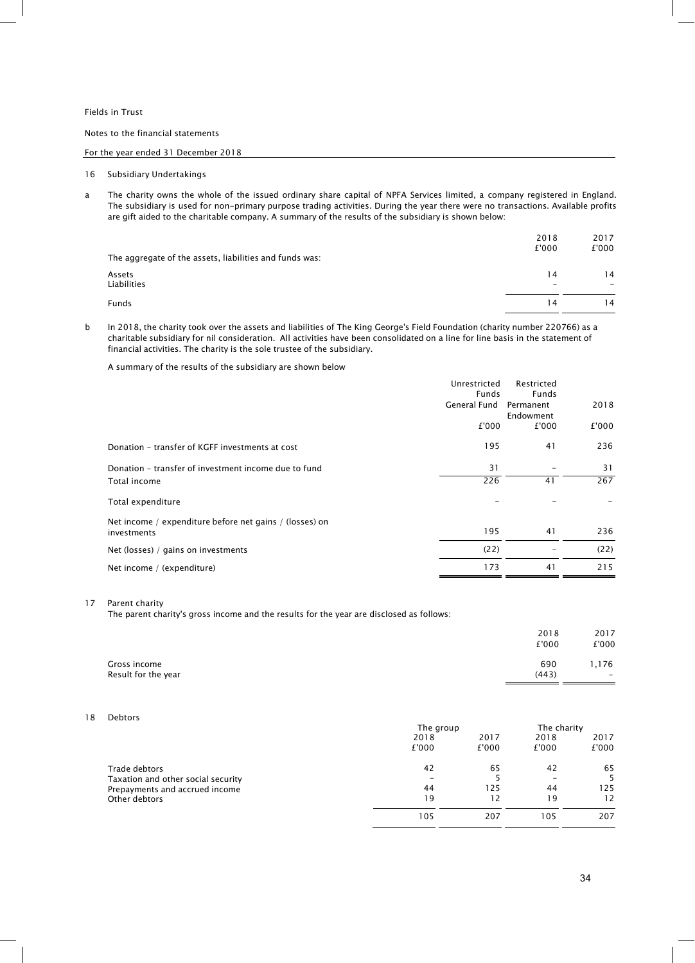Notes to the financial statements

### For the year ended 31 December 2018

#### 16 Subsidiary Undertakings

a The charity owns the whole of the issued ordinary share capital of NPFA Services limited, a company registered in England. The subsidiary is used for non-primary purpose trading activities. During the year there were no transactions. Available profits are gift aided to the charitable company. A summary of the results of the subsidiary is shown below:

|                                                         | 2018<br>£'000 | 2017<br>£'000 |
|---------------------------------------------------------|---------------|---------------|
| The aggregate of the assets, liabilities and funds was: |               |               |
| Assets<br>Liabilities                                   | 14<br>$\sim$  | 14<br>-       |
| <b>Funds</b>                                            | 14            | 14            |

b In 2018, the charity took over the assets and liabilities of The King George's Field Foundation (charity number 220766) as a charitable subsidiary for nil consideration. All activities have been consolidated on a line for line basis in the statement of financial activities. The charity is the sole trustee of the subsidiary.

A summary of the results of the subsidiary are shown below

|                                                                        | Unrestricted<br><b>Funds</b> | Restricted<br><b>Funds</b> |       |
|------------------------------------------------------------------------|------------------------------|----------------------------|-------|
|                                                                        | General Fund                 | Permanent<br>Endowment     | 2018  |
|                                                                        | £'000                        | £'000                      | £'000 |
| Donation - transfer of KGFF investments at cost                        | 195                          | 41                         | 236   |
| Donation - transfer of investment income due to fund                   | 31                           |                            | 31    |
| Total income                                                           | 226                          | 41                         | 267   |
| Total expenditure                                                      |                              |                            |       |
| Net income / expenditure before net gains / (losses) on<br>investments | 195                          | 41                         | 236   |
| Net (losses) / gains on investments                                    | (22)                         |                            | (22)  |
| Net income / (expenditure)                                             | 173                          | 41                         | 215   |
|                                                                        |                              |                            |       |

#### 17 Parent charity

The parent charity's gross income and the results for the year are disclosed as follows:

|                     | 2018  | 2017  |
|---------------------|-------|-------|
|                     | £'000 | £'000 |
| Gross income        | 690   | ,176  |
| Result for the year | (443) | $-$   |

### 18 Debtors

|                                    | The group |       | The charity              |       |
|------------------------------------|-----------|-------|--------------------------|-------|
|                                    | 2018      | 2017  | 2018                     | 2017  |
|                                    | £'000     | £'000 | £'000                    | £'000 |
| Trade debtors                      | 42        | 65    | 42                       | 65    |
| Taxation and other social security |           |       | $\overline{\phantom{a}}$ |       |
| Prepayments and accrued income     | 44        | 125   | 44                       | 125   |
| Other debtors                      | 19        | 12    | 19                       | 12    |
|                                    | 105       | 207   | 105                      | 207   |
|                                    |           |       |                          |       |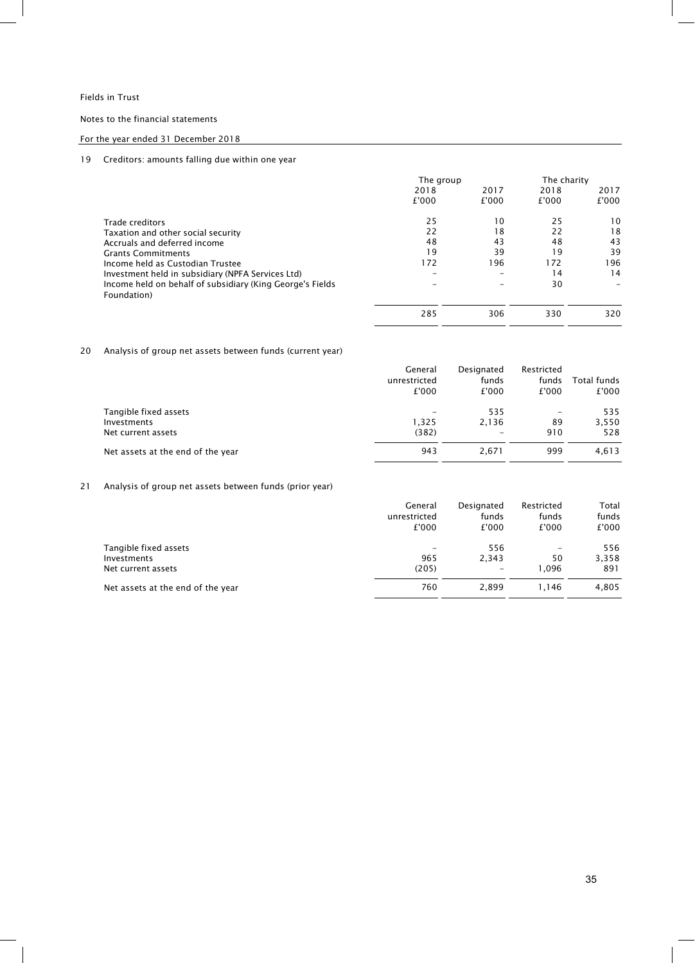## Notes to the financial statements

## For the year ended 31 December 2018

#### 19 Creditors: amounts falling due within one year

|                                                                          | The group |       | The charity |       |
|--------------------------------------------------------------------------|-----------|-------|-------------|-------|
|                                                                          | 2018      | 2017  | 2018        | 2017  |
|                                                                          | £'000     | £'000 | £'000       | £'000 |
| Trade creditors                                                          | 25        | 10    | 25          | 10    |
| Taxation and other social security                                       | 22        | 18    | 22          | 18    |
| Accruals and deferred income                                             | 48        | 43    | 48          | 43    |
| <b>Grants Commitments</b>                                                | 19        | 39    | 19          | 39    |
| Income held as Custodian Trustee                                         | 172       | 196   | 172         | 196   |
| Investment held in subsidiary (NPFA Services Ltd)                        |           |       | 14          | 14    |
| Income held on behalf of subsidiary (King George's Fields<br>Foundation) |           |       | 30          |       |
|                                                                          | 285       | 306   | 330         | 320   |

## 20 Analysis of group net assets between funds (current year)

|                                   | General<br>unrestricted<br>£'000 | Designated<br>funds<br>£'000 | Restricted<br>funds<br>£'000 | <b>Total funds</b><br>£'000 |
|-----------------------------------|----------------------------------|------------------------------|------------------------------|-----------------------------|
| Tangible fixed assets             | -                                | 535                          | -                            | 535                         |
| Investments<br>Net current assets | 1,325<br>(382)                   | 2,136<br>-                   | 89<br>910                    | 3,550<br>528                |
| Net assets at the end of the year | 943                              | 2.671                        | 999                          | 4,613                       |

## 21 Analysis of group net assets between funds (prior year)

|                                   | General      | Designated      | Restricted | Total |
|-----------------------------------|--------------|-----------------|------------|-------|
|                                   | unrestricted | funds           | funds      | funds |
|                                   | £'000        | £'000           | £'000      | £'000 |
| Tangible fixed assets             | -            | 556             | -          | 556   |
| Investments                       | 965          | 2,343           | 50         | 3,358 |
| Net current assets                | (205)        | $\qquad \qquad$ | 1.096      | 891   |
| Net assets at the end of the year | 760          | 2.899           | 1.146      | 4,805 |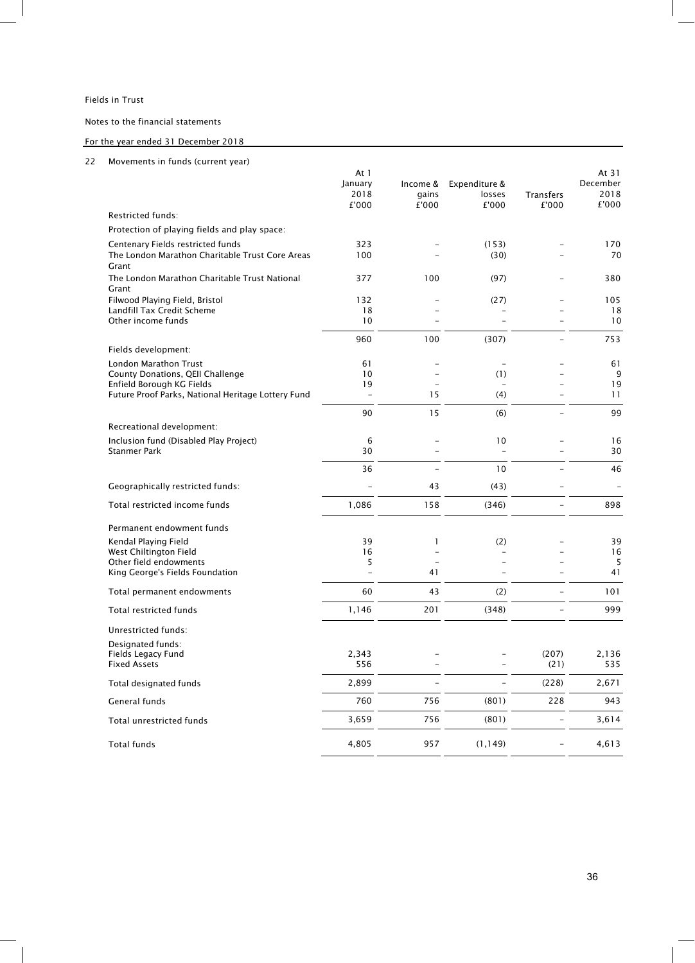## Notes to the financial statements

## For the year ended 31 December 2018

## 22 Movements in funds (current year)

|                                                                                               | At 1<br>January<br>2018<br>£'000 | Income &<br>gains<br>£'000 | Expenditure &<br>losses<br>£'000 | Transfers<br>£'000       | At 31<br>December<br>2018<br>£'000 |
|-----------------------------------------------------------------------------------------------|----------------------------------|----------------------------|----------------------------------|--------------------------|------------------------------------|
| Restricted funds:                                                                             |                                  |                            |                                  |                          |                                    |
| Protection of playing fields and play space:                                                  |                                  |                            |                                  |                          |                                    |
| Centenary Fields restricted funds<br>The London Marathon Charitable Trust Core Areas<br>Grant | 323<br>100                       |                            | (153)<br>(30)                    |                          | 170<br>70                          |
| The London Marathon Charitable Trust National<br>Grant                                        | 377                              | 100                        | (97)                             |                          | 380                                |
| Filwood Playing Field, Bristol                                                                | 132                              |                            | (27)                             |                          | 105                                |
| Landfill Tax Credit Scheme                                                                    | 18                               |                            |                                  |                          | 18                                 |
| Other income funds                                                                            | 10                               |                            |                                  |                          | 10                                 |
|                                                                                               | 960                              | 100                        | (307)                            | ÷                        | 753                                |
| Fields development:                                                                           |                                  |                            |                                  |                          |                                    |
| London Marathon Trust<br>County Donations, QEII Challenge                                     | 61<br>10                         |                            | (1)                              |                          | 61<br>9                            |
| Enfield Borough KG Fields                                                                     | 19                               |                            |                                  |                          | 19                                 |
| Future Proof Parks, National Heritage Lottery Fund                                            |                                  | 15                         | (4)                              |                          | 11                                 |
|                                                                                               | 90                               | 15                         | (6)                              |                          | 99                                 |
| Recreational development:                                                                     |                                  |                            |                                  |                          |                                    |
| Inclusion fund (Disabled Play Project)<br><b>Stanmer Park</b>                                 | 6<br>30                          |                            | 10                               |                          | 16<br>30                           |
|                                                                                               | 36                               | ÷,                         | 10                               | $\overline{\phantom{a}}$ | 46                                 |
| Geographically restricted funds:                                                              |                                  | 43                         | (43)                             |                          |                                    |
| Total restricted income funds                                                                 | 1,086                            | 158                        | (346)                            |                          | 898                                |
| Permanent endowment funds                                                                     |                                  |                            |                                  |                          |                                    |
| Kendal Playing Field                                                                          | 39                               | 1                          | (2)                              |                          | 39                                 |
| West Chiltington Field                                                                        | 16                               |                            |                                  |                          | 16                                 |
| Other field endowments<br>King George's Fields Foundation                                     | 5<br>L.                          | 41                         |                                  |                          | 5<br>41                            |
| Total permanent endowments                                                                    | 60                               | 43                         | (2)                              |                          | 101                                |
| Total restricted funds                                                                        | 1,146                            | 201                        | (348)                            |                          | 999                                |
| Unrestricted funds:                                                                           |                                  |                            |                                  |                          |                                    |
| Designated funds:                                                                             |                                  |                            |                                  |                          |                                    |
| Fields Legacy Fund                                                                            | 2,343                            |                            |                                  | (207)                    | 2,136                              |
| <b>Fixed Assets</b>                                                                           | 556                              |                            |                                  | (21)                     | 535                                |
| Total designated funds                                                                        | 2,899                            |                            |                                  | (228)                    | 2,671                              |
| General funds                                                                                 | 760                              | 756                        | (801)                            | 228                      | 943                                |
| Total unrestricted funds                                                                      | 3,659                            | 756                        | (801)                            |                          | 3,614                              |
| <b>Total funds</b>                                                                            | 4,805                            | 957                        | (1, 149)                         |                          | 4,613                              |
|                                                                                               |                                  |                            |                                  |                          |                                    |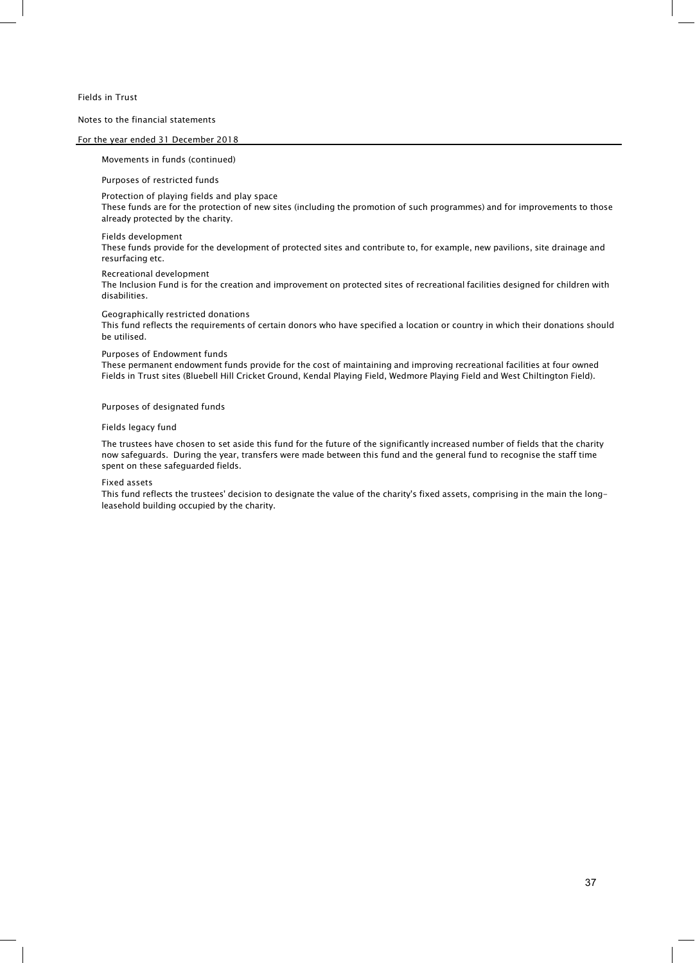#### Notes to the financial statements

#### For the year ended 31 December 2018

#### Movements in funds (continued)

#### Purposes of restricted funds

### Protection of playing fields and play space

These funds are for the protection of new sites (including the promotion of such programmes) and for improvements to those already protected by the charity.

#### Fields development

These funds provide for the development of protected sites and contribute to, for example, new pavilions, site drainage and resurfacing etc.

### Recreational development

The Inclusion Fund is for the creation and improvement on protected sites of recreational facilities designed for children with disabilities.

#### Geographically restricted donations

This fund reflects the requirements of certain donors who have specified a location or country in which their donations should be utilised.

### Purposes of Endowment funds

These permanent endowment funds provide for the cost of maintaining and improving recreational facilities at four owned Fields in Trust sites (Bluebell Hill Cricket Ground, Kendal Playing Field, Wedmore Playing Field and West Chiltington Field).

#### Purposes of designated funds

#### Fields legacy fund

The trustees have chosen to set aside this fund for the future of the significantly increased number of fields that the charity now safeguards. During the year, transfers were made between this fund and the general fund to recognise the staff time spent on these safeguarded fields.

#### Fixed assets

This fund reflects the trustees' decision to designate the value of the charity's fixed assets, comprising in the main the longleasehold building occupied by the charity.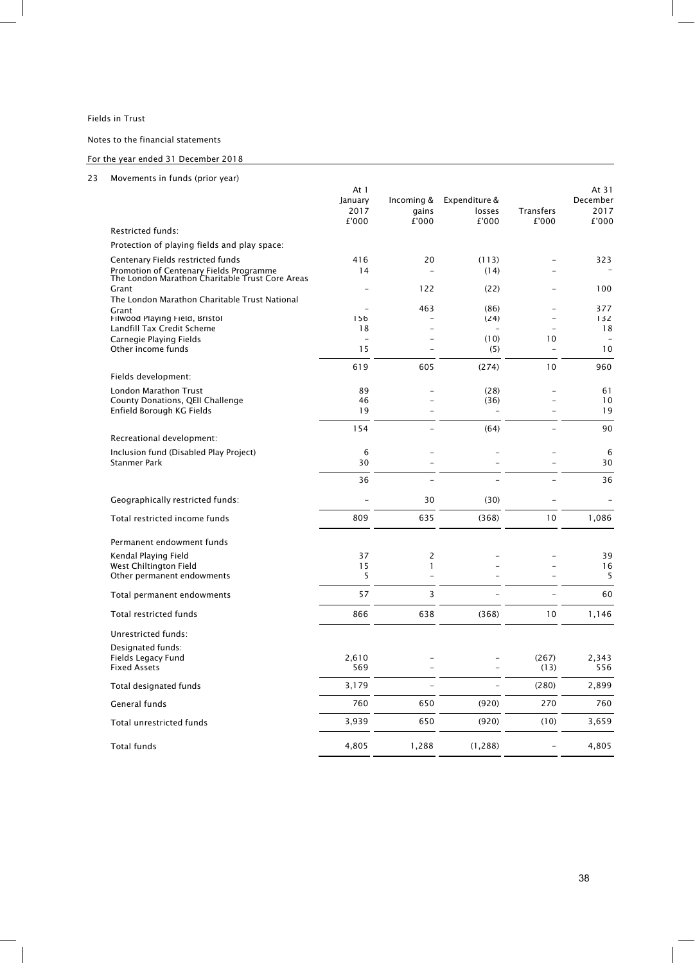Notes to the financial statements

## For the year ended 31 December 2018

## 23 Movements in funds (prior year)

| January<br>Incoming &<br>Expenditure &<br>2017<br><b>Transfers</b><br>losses<br>gains<br>£'000<br>£'000<br>£'000<br>£'000<br>Restricted funds:<br>Protection of playing fields and play space:<br>416<br>20<br>(113)<br>Centenary Fields restricted funds<br>$\overline{\phantom{0}}$<br>Promotion of Centenary Fields Programme<br>(14)<br>14<br>۳<br>The London Marathon Charitable Trust Core Areas<br>Grant<br>122<br>(22)<br>The London Marathon Charitable Trust National<br>463<br>(86)<br>Grant<br>Filwood Playing Field, Bristol<br>156<br>(24)<br>Landfill Tax Credit Scheme<br>18<br>$\overline{\phantom{a}}$<br>(10)<br>10<br>Carnegie Playing Fields<br>$\overline{\phantom{a}}$<br>Other income funds<br>15<br>(5)<br>$\overline{\phantom{a}}$<br>10<br>619<br>605<br>(274)<br>Fields development:<br>London Marathon Trust<br>89<br>(28)<br>County Donations, QEII Challenge<br>46<br>(36)<br>Enfield Borough KG Fields<br>19<br>$\qquad \qquad -$<br>154<br>(64)<br>÷,<br>Recreational development: | At 31                          |
|---------------------------------------------------------------------------------------------------------------------------------------------------------------------------------------------------------------------------------------------------------------------------------------------------------------------------------------------------------------------------------------------------------------------------------------------------------------------------------------------------------------------------------------------------------------------------------------------------------------------------------------------------------------------------------------------------------------------------------------------------------------------------------------------------------------------------------------------------------------------------------------------------------------------------------------------------------------------------------------------------------------------|--------------------------------|
|                                                                                                                                                                                                                                                                                                                                                                                                                                                                                                                                                                                                                                                                                                                                                                                                                                                                                                                                                                                                                     | December                       |
|                                                                                                                                                                                                                                                                                                                                                                                                                                                                                                                                                                                                                                                                                                                                                                                                                                                                                                                                                                                                                     | 2017<br>£'000                  |
|                                                                                                                                                                                                                                                                                                                                                                                                                                                                                                                                                                                                                                                                                                                                                                                                                                                                                                                                                                                                                     |                                |
|                                                                                                                                                                                                                                                                                                                                                                                                                                                                                                                                                                                                                                                                                                                                                                                                                                                                                                                                                                                                                     |                                |
|                                                                                                                                                                                                                                                                                                                                                                                                                                                                                                                                                                                                                                                                                                                                                                                                                                                                                                                                                                                                                     | 323                            |
|                                                                                                                                                                                                                                                                                                                                                                                                                                                                                                                                                                                                                                                                                                                                                                                                                                                                                                                                                                                                                     |                                |
|                                                                                                                                                                                                                                                                                                                                                                                                                                                                                                                                                                                                                                                                                                                                                                                                                                                                                                                                                                                                                     | 100                            |
|                                                                                                                                                                                                                                                                                                                                                                                                                                                                                                                                                                                                                                                                                                                                                                                                                                                                                                                                                                                                                     | 377                            |
|                                                                                                                                                                                                                                                                                                                                                                                                                                                                                                                                                                                                                                                                                                                                                                                                                                                                                                                                                                                                                     | 132                            |
|                                                                                                                                                                                                                                                                                                                                                                                                                                                                                                                                                                                                                                                                                                                                                                                                                                                                                                                                                                                                                     | 18<br>$\overline{\phantom{a}}$ |
|                                                                                                                                                                                                                                                                                                                                                                                                                                                                                                                                                                                                                                                                                                                                                                                                                                                                                                                                                                                                                     | 10                             |
|                                                                                                                                                                                                                                                                                                                                                                                                                                                                                                                                                                                                                                                                                                                                                                                                                                                                                                                                                                                                                     | 960                            |
|                                                                                                                                                                                                                                                                                                                                                                                                                                                                                                                                                                                                                                                                                                                                                                                                                                                                                                                                                                                                                     |                                |
|                                                                                                                                                                                                                                                                                                                                                                                                                                                                                                                                                                                                                                                                                                                                                                                                                                                                                                                                                                                                                     | 61                             |
|                                                                                                                                                                                                                                                                                                                                                                                                                                                                                                                                                                                                                                                                                                                                                                                                                                                                                                                                                                                                                     | 10<br>19                       |
|                                                                                                                                                                                                                                                                                                                                                                                                                                                                                                                                                                                                                                                                                                                                                                                                                                                                                                                                                                                                                     |                                |
|                                                                                                                                                                                                                                                                                                                                                                                                                                                                                                                                                                                                                                                                                                                                                                                                                                                                                                                                                                                                                     | 90                             |
| Inclusion fund (Disabled Play Project)<br>6                                                                                                                                                                                                                                                                                                                                                                                                                                                                                                                                                                                                                                                                                                                                                                                                                                                                                                                                                                         | 6                              |
| <b>Stanmer Park</b><br>30<br>$\equiv$                                                                                                                                                                                                                                                                                                                                                                                                                                                                                                                                                                                                                                                                                                                                                                                                                                                                                                                                                                               | 30                             |
| 36<br>÷,<br>÷<br>$\equiv$                                                                                                                                                                                                                                                                                                                                                                                                                                                                                                                                                                                                                                                                                                                                                                                                                                                                                                                                                                                           | 36                             |
| Geographically restricted funds:<br>(30)<br>30                                                                                                                                                                                                                                                                                                                                                                                                                                                                                                                                                                                                                                                                                                                                                                                                                                                                                                                                                                      |                                |
| 809<br>635<br>10<br>Total restricted income funds<br>(368)                                                                                                                                                                                                                                                                                                                                                                                                                                                                                                                                                                                                                                                                                                                                                                                                                                                                                                                                                          | 1,086                          |
| Permanent endowment funds                                                                                                                                                                                                                                                                                                                                                                                                                                                                                                                                                                                                                                                                                                                                                                                                                                                                                                                                                                                           |                                |
| 37<br>2<br>Kendal Playing Field                                                                                                                                                                                                                                                                                                                                                                                                                                                                                                                                                                                                                                                                                                                                                                                                                                                                                                                                                                                     | 39                             |
| West Chiltington Field<br>15<br>$\mathbf{1}$<br>5<br>Other permanent endowments<br>$\overline{\phantom{0}}$                                                                                                                                                                                                                                                                                                                                                                                                                                                                                                                                                                                                                                                                                                                                                                                                                                                                                                         | 16<br>5                        |
|                                                                                                                                                                                                                                                                                                                                                                                                                                                                                                                                                                                                                                                                                                                                                                                                                                                                                                                                                                                                                     |                                |
| 3<br>57<br>Total permanent endowments                                                                                                                                                                                                                                                                                                                                                                                                                                                                                                                                                                                                                                                                                                                                                                                                                                                                                                                                                                               | 60                             |
| 866<br>638<br>(368)<br>10<br>Total restricted funds                                                                                                                                                                                                                                                                                                                                                                                                                                                                                                                                                                                                                                                                                                                                                                                                                                                                                                                                                                 | 1,146                          |
| Unrestricted funds:                                                                                                                                                                                                                                                                                                                                                                                                                                                                                                                                                                                                                                                                                                                                                                                                                                                                                                                                                                                                 |                                |
| Designated funds:                                                                                                                                                                                                                                                                                                                                                                                                                                                                                                                                                                                                                                                                                                                                                                                                                                                                                                                                                                                                   |                                |
| Fields Legacy Fund<br>2,610<br>(267)<br><b>Fixed Assets</b><br>569<br>(13)                                                                                                                                                                                                                                                                                                                                                                                                                                                                                                                                                                                                                                                                                                                                                                                                                                                                                                                                          | 2,343<br>556                   |
|                                                                                                                                                                                                                                                                                                                                                                                                                                                                                                                                                                                                                                                                                                                                                                                                                                                                                                                                                                                                                     |                                |
| Total designated funds<br>3,179<br>(280)                                                                                                                                                                                                                                                                                                                                                                                                                                                                                                                                                                                                                                                                                                                                                                                                                                                                                                                                                                            | 2,899                          |
| 760<br>650<br>270<br>General funds<br>(920)                                                                                                                                                                                                                                                                                                                                                                                                                                                                                                                                                                                                                                                                                                                                                                                                                                                                                                                                                                         | 760                            |
| 650<br>(10)<br>3,939<br>(920)<br>Total unrestricted funds                                                                                                                                                                                                                                                                                                                                                                                                                                                                                                                                                                                                                                                                                                                                                                                                                                                                                                                                                           | 3,659                          |
| <b>Total funds</b><br>4,805<br>1,288<br>(1, 288)                                                                                                                                                                                                                                                                                                                                                                                                                                                                                                                                                                                                                                                                                                                                                                                                                                                                                                                                                                    | 4,805                          |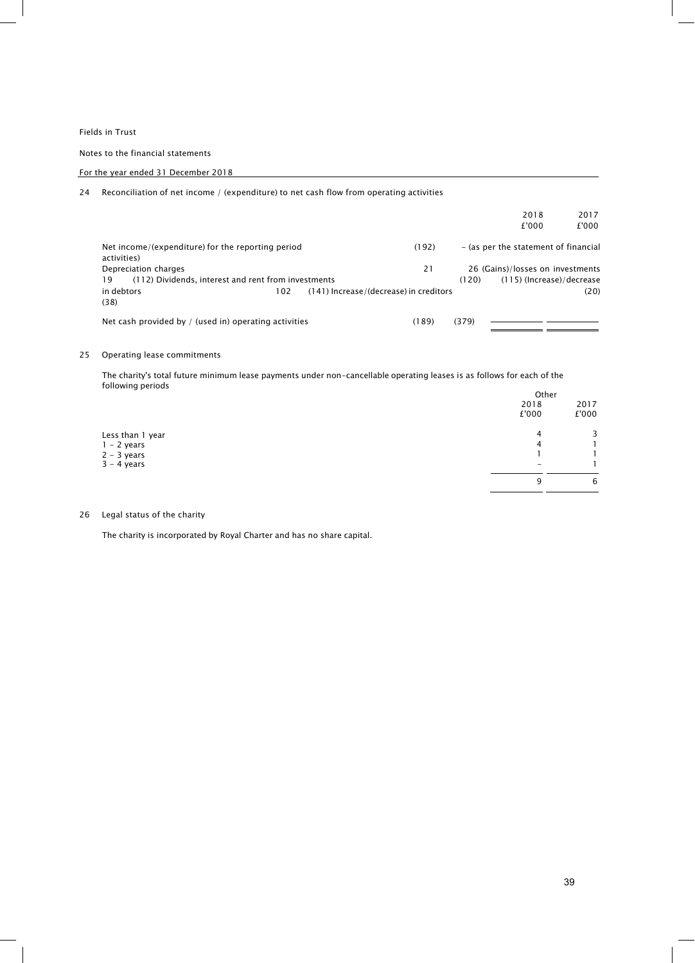Notes to the financial statements

#### For the year ended 31 December 2018

| Reconciliation of net income / (expenditure) to net cash flow from operating activities<br>24 |                                        |       |                                      |       |
|-----------------------------------------------------------------------------------------------|----------------------------------------|-------|--------------------------------------|-------|
|                                                                                               |                                        |       | 2018                                 | 2017  |
|                                                                                               |                                        |       | £'000                                | £'000 |
| Net income/(expenditure) for the reporting period<br>activities)                              | (192)                                  |       | - (as per the statement of financial |       |
| Depreciation charges                                                                          | 21                                     |       | 26 (Gains)/losses on investments     |       |
| (112) Dividends, interest and rent from investments<br>19                                     |                                        | (120) | (115) (Increase)/decrease            |       |
| in debtors<br>102                                                                             | (141) Increase/(decrease) in creditors |       |                                      | (20)  |
| (38)                                                                                          |                                        |       |                                      |       |
| Net cash provided by $/$ (used in) operating activities                                       | (189)                                  | (379) |                                      |       |

## 25 Operating lease commitments

The charity's total future minimum lease payments under non-cancellable operating leases is as follows for each of the following periods  $\bigcap_{n\geq 0}$ 

|                  | Other |       |
|------------------|-------|-------|
|                  | 2018  | 2017  |
|                  | £'000 | £'000 |
| Less than 1 year | 4     | 3     |
| $1 - 2$ years    | 4     |       |
| $2 - 3$ years    |       |       |
| 3 - 4 years      | -     |       |
|                  | 9     | 6     |

#### 26 Legal status of the charity

The charity is incorporated by Royal Charter and has no share capital.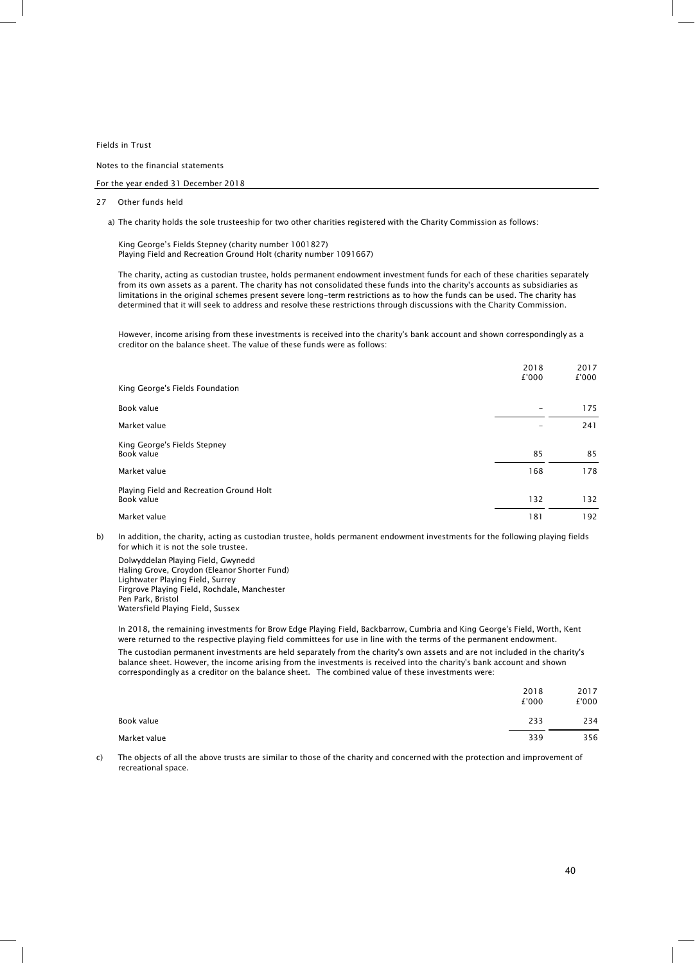Notes to the financial statements

#### For the year ended 31 December 2018

#### 27 Other funds held

a) The charity holds the sole trusteeship for two other charities registered with the Charity Commission as follows:

King George's Fields Stepney (charity number 1001827) Playing Field and Recreation Ground Holt (charity number 1091667)

The charity, acting as custodian trustee, holds permanent endowment investment funds for each of these charities separately from its own assets as a parent. The charity has not consolidated these funds into the charity's accounts as subsidiaries as limitations in the original schemes present severe long-term restrictions as to how the funds can be used. The charity has determined that it will seek to address and resolve these restrictions through discussions with the Charity Commission.

However, income arising from these investments is received into the charity's bank account and shown correspondingly as a creditor on the balance sheet. The value of these funds were as follows:

|                                                        | 2018<br>£'000 | 2017<br>£'000 |
|--------------------------------------------------------|---------------|---------------|
| King George's Fields Foundation                        |               |               |
| Book value                                             |               | 175           |
| Market value                                           |               | 241           |
| King George's Fields Stepney<br>Book value             | 85            | 85            |
| Market value                                           | 168           | 178           |
| Playing Field and Recreation Ground Holt<br>Book value | 132           | 132           |
| Market value                                           | 181           | 192           |

b) In addition, the charity, acting as custodian trustee, holds permanent endowment investments for the following playing fields for which it is not the sole trustee.

Dolwyddelan Playing Field, Gwynedd Haling Grove, Croydon (Eleanor Shorter Fund) Lightwater Playing Field, Surrey Firgrove Playing Field, Rochdale, Manchester Pen Park, Bristol Watersfield Playing Field, Sussex

In 2018, the remaining investments for Brow Edge Playing Field, Backbarrow, Cumbria and King George's Field, Worth, Kent were returned to the respective playing field committees for use in line with the terms of the permanent endowment. The custodian permanent investments are held separately from the charity's own assets and are not included in the charity's balance sheet. However, the income arising from the investments is received into the charity's bank account and shown correspondingly as a creditor on the balance sheet. The combined value of these investments were:

|              | 2018<br>£'000 | 2017<br>£'000 |
|--------------|---------------|---------------|
| Book value   | 233           | 234           |
| Market value | 339           | 356           |

c) The objects of all the above trusts are similar to those of the charity and concerned with the protection and improvement of recreational space.